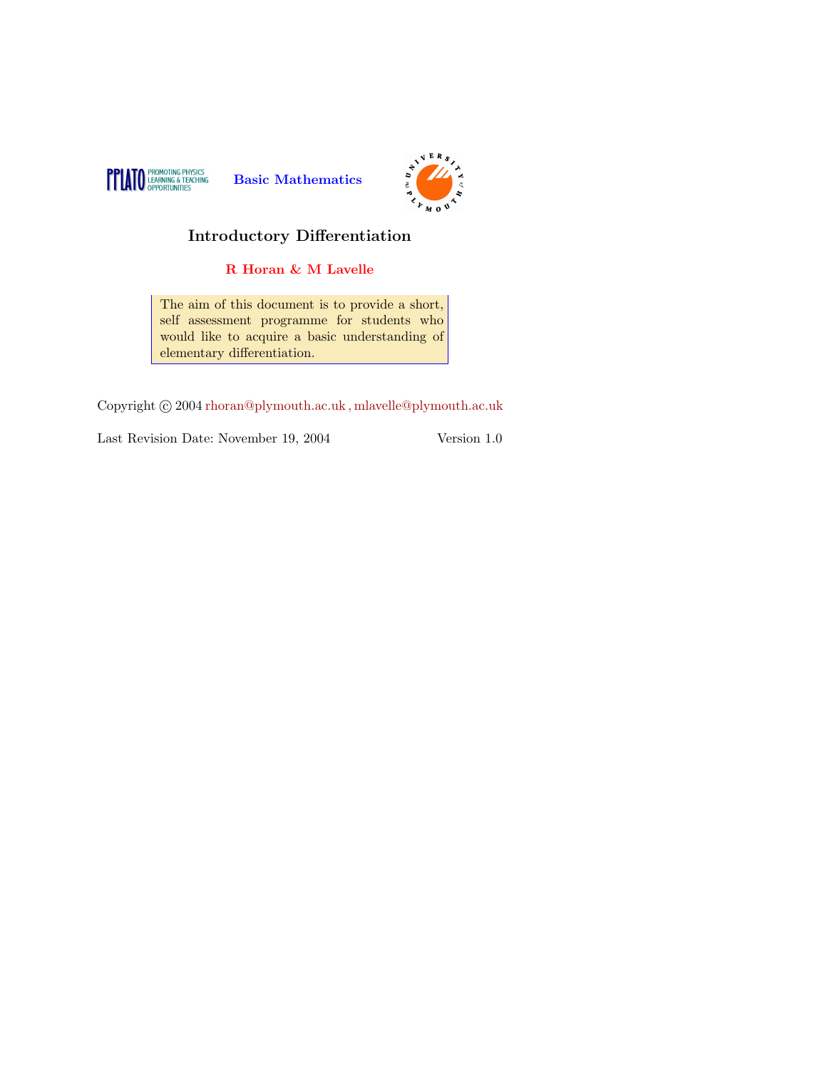



### Introductory Differentiation

R Horan & M Lavelle

The aim of this document is to provide a short, self assessment programme for students who would like to acquire a basic understanding of elementary differentiation.

Copyright  $\odot$  2004 rhoran@plymouth.ac.uk, mlavelle@plymouth.ac.uk

Last Revision Date: November 19, 2004 Version 1.0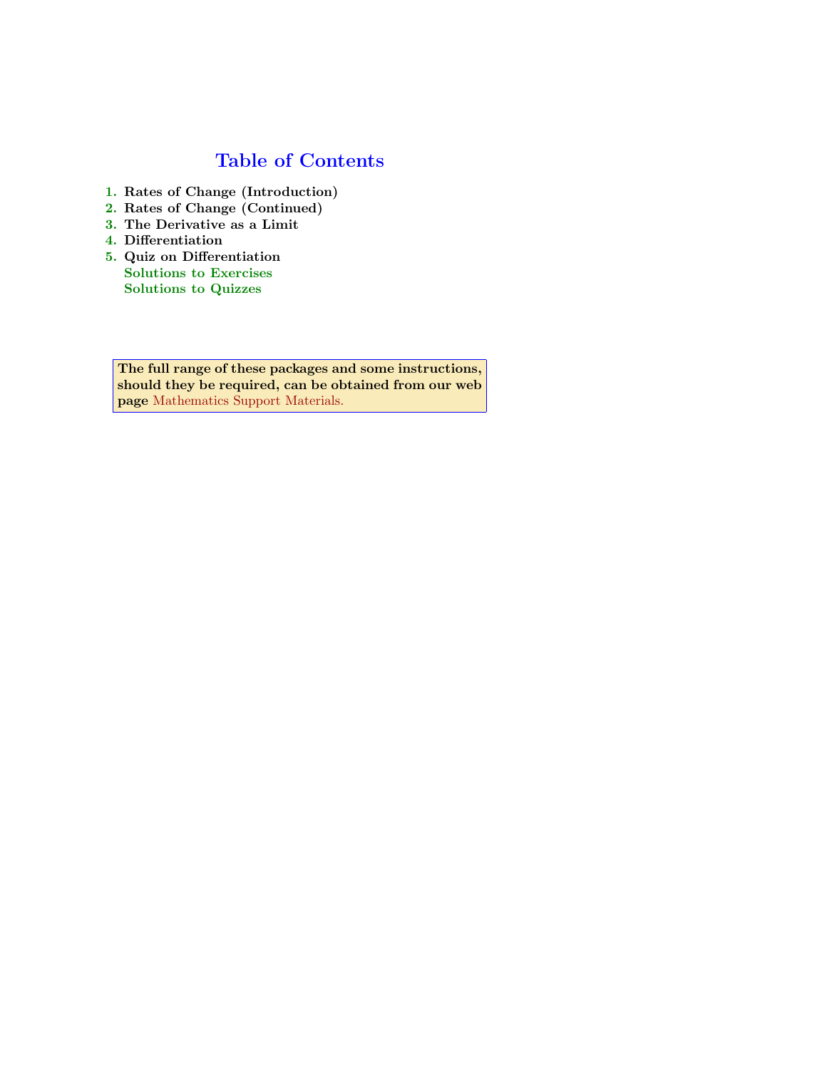# Table of Contents

- 1. Rates of Change (Introduction)
- 2. Rates of Change (Continued)
- 3. The Derivative as a Limit
- 4. Differentiation
- 5. Quiz on Differentiation Solutions to Exercises [Solutions to Quizzes](http://www.plymouth.ac.uk/mathaid)

The full range of these packages and some instructions, should they be required, can be obtained from our web page Mathematics Support Materials.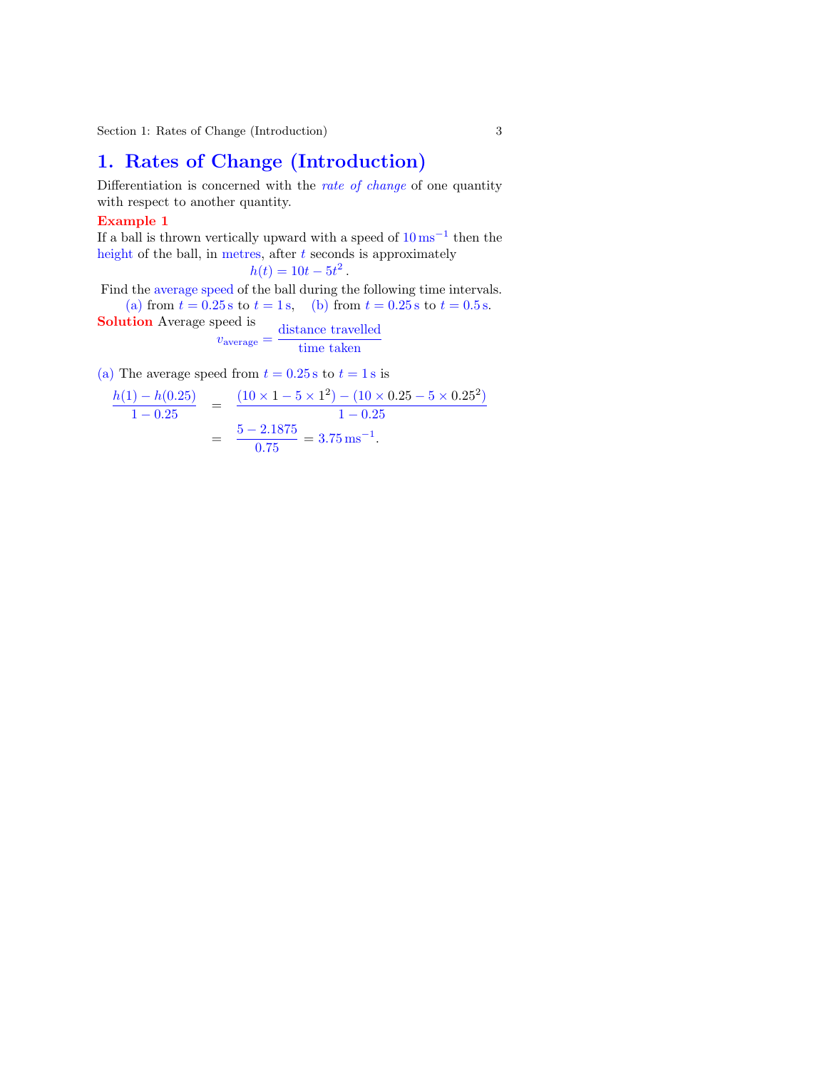# 1. Rates of Change (Introduction)

Differentiation is concerned with the *rate of change* of one quantity with respect to another quantity.

### Example 1

If a ball is thrown vertically upward with a speed of  $10 \text{ ms}^{-1}$  then the height of the ball, in metres, after  $t$  seconds is approximately

 $h(t) = 10t - 5t^2$ .

Find the average speed of the ball during the following time intervals. (a) from  $t = 0.25$  s to  $t = 1$  s, (b) from  $t = 0.25$  s to  $t = 0.5$  s. Solution Average speed is  $v_{\text{average}} = \frac{\text{distance trace}}{\text{time taken}}$ distance travelled

(a) The average speed from 
$$
t = 0.25
$$
 s to  $t = 1$  s is  
\n
$$
\frac{h(1) - h(0.25)}{1 - 0.25} = \frac{(10 \times 1 - 5 \times 1^2) - (10 \times 0.25 - 5 \times 0.25^2)}{1 - 0.25}
$$
\n
$$
= \frac{5 - 2.1875}{0.75} = 3.75 \text{ ms}^{-1}.
$$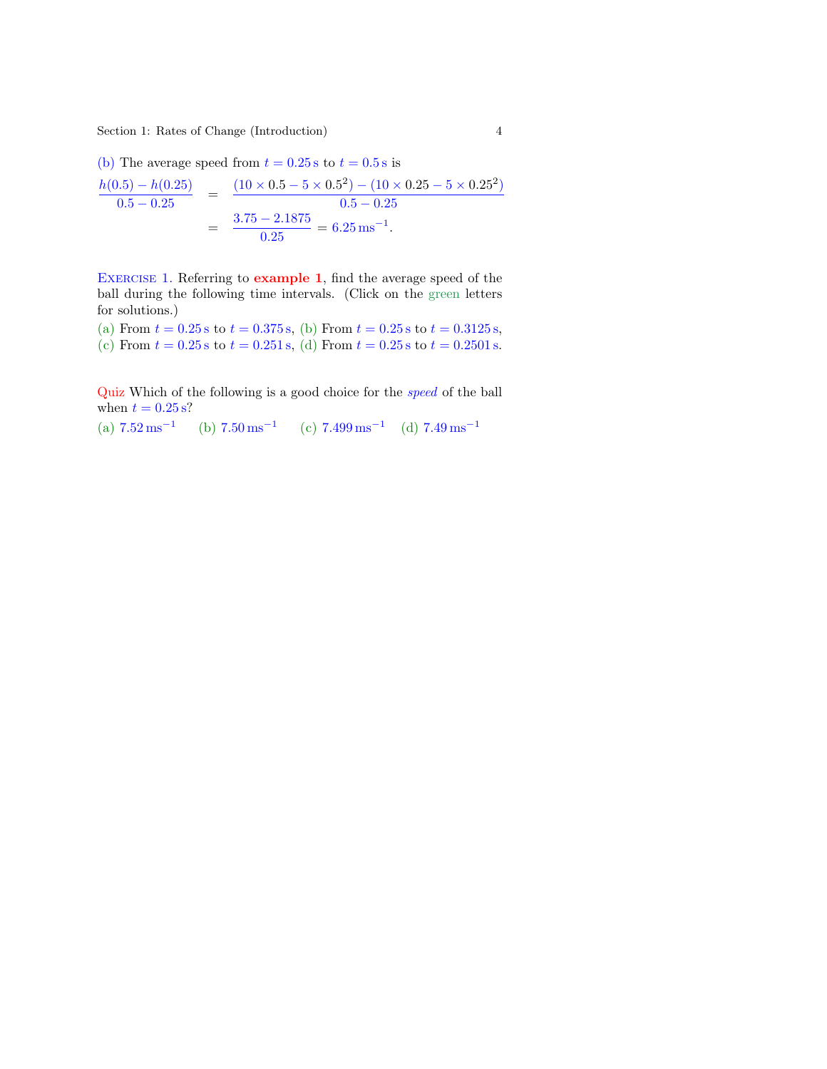<span id="page-3-0"></span>Section 1: Rates of Change (Introduction) 4

(b) The average speed from  $t = 0.25$  s to  $t = 0.5$  s is

$$
\frac{h(0.5) - h(0.25)}{0.5 - 0.25} = \frac{(10 \times 0.5 - 5 \times 0.5^2) - (10 \times 0.25 - 5 \times 0.25^2)}{0.5 - 0.25}
$$

$$
= \frac{3.75 - 2.1875}{0.25} = 6.25 \text{ ms}^{-1}.
$$

Exercise 1. Referring to example 1, find the average speed of the ball during the following time intervals. (Click on the green letters for solutions.)

(a) From  $t = 0.25$  s to  $t = 0.375$  s, (b) From  $t = 0.25$  s to  $t = 0.3125$  s, (c) From  $t = 0.25$  s to  $t = 0.251$  s, (d) From  $t = 0.25$  s to  $t = 0.2501$  s.

Quiz Which of the following is a good choice for the speed of the ball when  $t = 0.25$  s?

(a)  $7.52 \text{ ms}^{-1}$  (b)  $7.50 \text{ ms}^{-1}$  (c)  $7.499 \text{ ms}^{-1}$  (d)  $7.49 \text{ ms}^{-1}$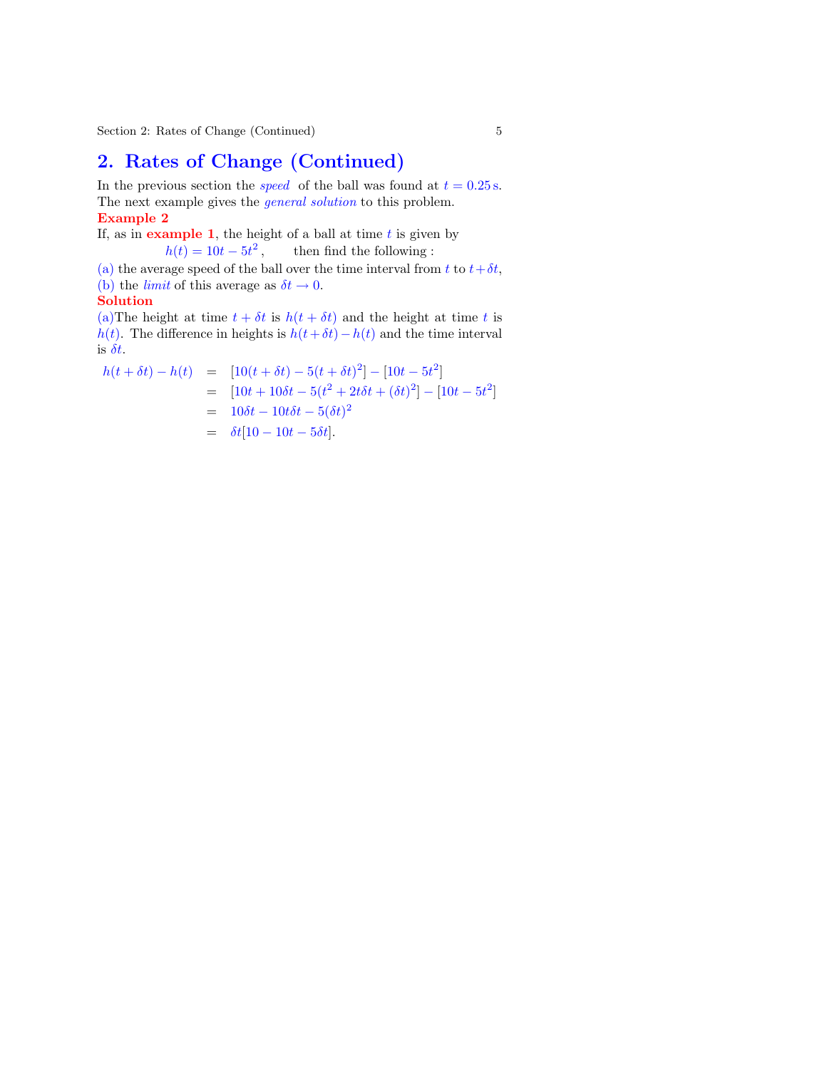# 2. Rates of Change (Continued)

In the previous section the *speed* of the ball was found at  $t = 0.25$  s. The next example gives the *general solution* to this problem. Example 2

If, as in **example 1**, the height of a ball at time  $t$  is given by  $h(t) = 10t - 5t^2$ , then find the following :

(a) the average speed of the ball over the time interval from t to  $t+\delta t$ . (b) the *limit* of this average as  $\delta t \rightarrow 0$ .

### Solution

(a) The height at time  $t + \delta t$  is  $h(t + \delta t)$  and the height at time t is h(t). The difference in heights is  $h(t+\delta t) - h(t)$  and the time interval is  $\delta t$ .

$$
h(t + \delta t) - h(t) = [10(t + \delta t) - 5(t + \delta t)^{2}] - [10t - 5t^{2}]
$$
  
= 
$$
[10t + 10\delta t - 5(t^{2} + 2t\delta t + (\delta t)^{2}] - [10t - 5t^{2}]
$$
  
= 
$$
10\delta t - 10t\delta t - 5(\delta t)^{2}
$$
  
= 
$$
\delta t[10 - 10t - 5\delta t].
$$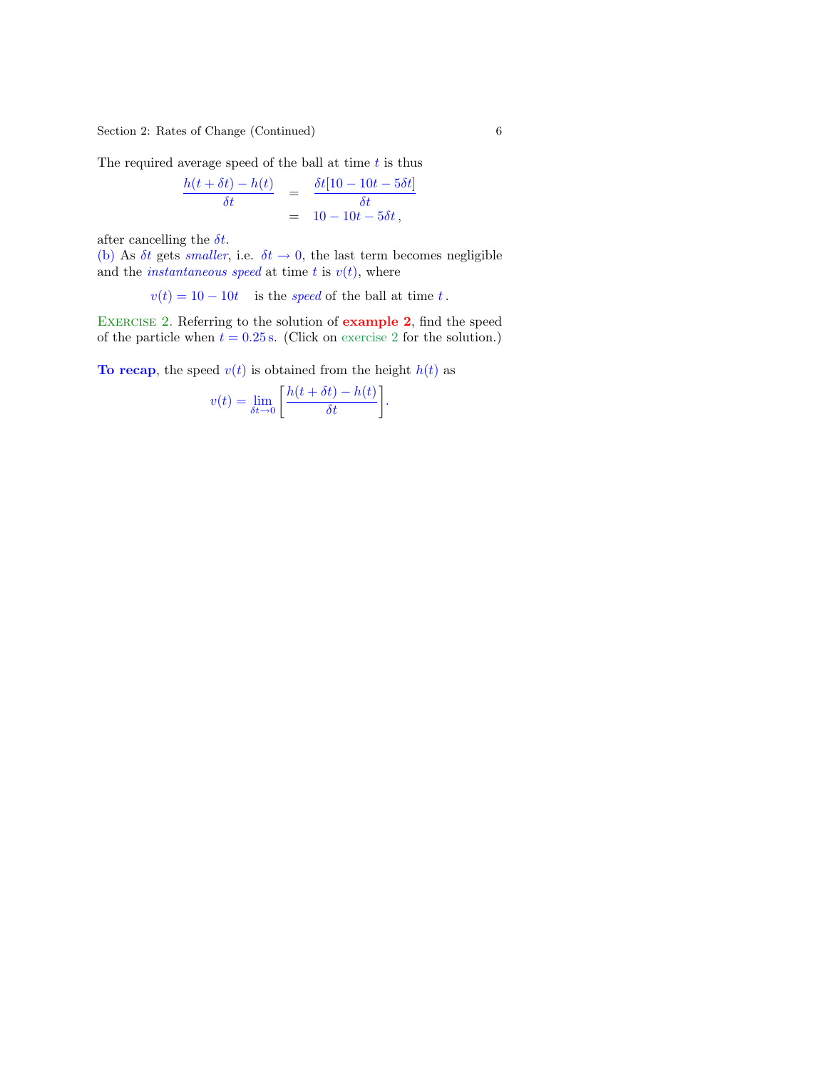Section 2: Rates of Change (Continued) 6

The required average speed of the ball at time  $t$  is thus

$$
\frac{h(t+\delta t) - h(t)}{\delta t} = \frac{\delta t[10 - 10t - 5\delta t]}{\delta t}
$$

$$
= 10 - 10t - 5\delta t,
$$

after cancelling the  $\delta t$ .

(b) As  $\delta t$  gets *smaller*, i.e.  $\delta t \rightarrow 0$ , the last term becomes negligible and the *instantaneous speed* at time t is  $v(t)$ , where

 $v(t) = 10 - 10t$  is the speed of the ball at time t.

Exercise 2. Referring to the solution of example 2, find the speed of the particle when  $t = 0.25$  s. (Click on exercise 2 for the solution.)

To recap, the speed  $v(t)$  is obtained from the height  $h(t)$  as

$$
v(t) = \lim_{\delta t \to 0} \left[ \frac{h(t + \delta t) - h(t)}{\delta t} \right].
$$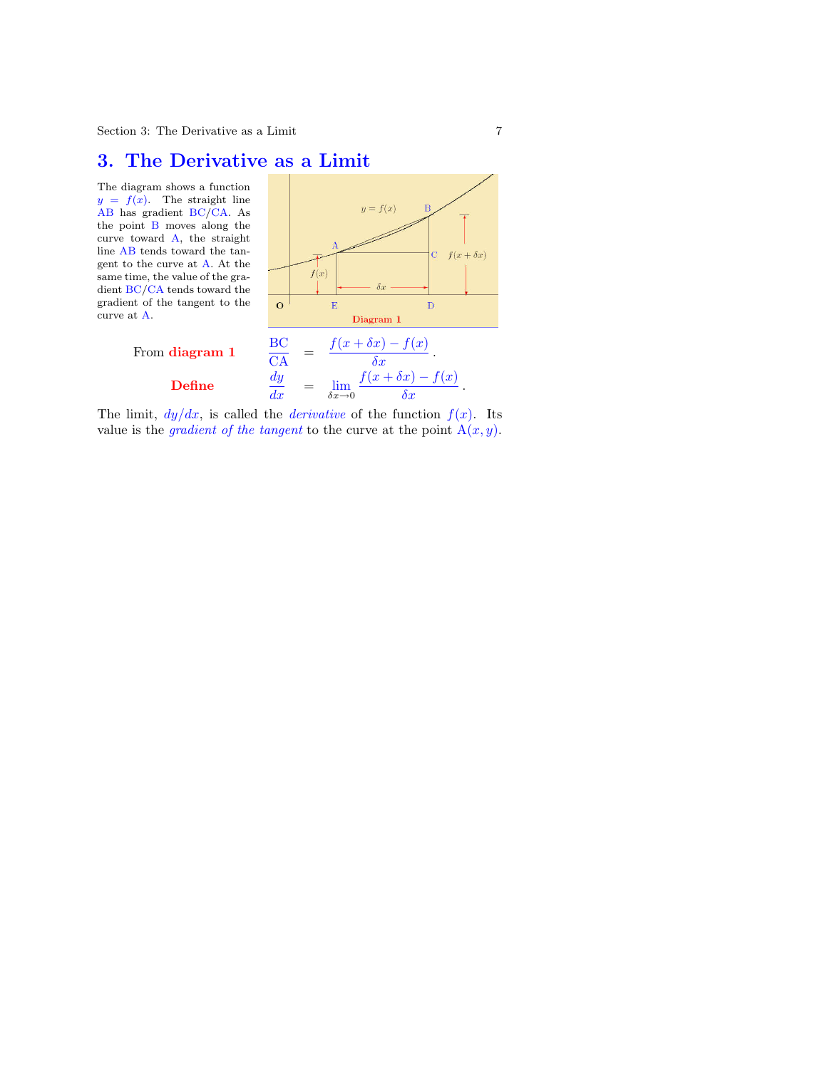## 3. The Derivative as a Limit

The diagram shows a function  $y = f(x)$ . The straight line AB has gradient BC/CA. As the point B moves along the curve toward A, the straight line AB tends toward the tangent to the curve at A. At the same time, the value of the gradient BC/CA tends toward the gradient of the tangent to the curve at A.

From diagram 1

Define



The limit,  $dy/dx$ , is called the *derivative* of the function  $f(x)$ . Its value is the *gradient of the tangent* to the curve at the point  $A(x, y)$ .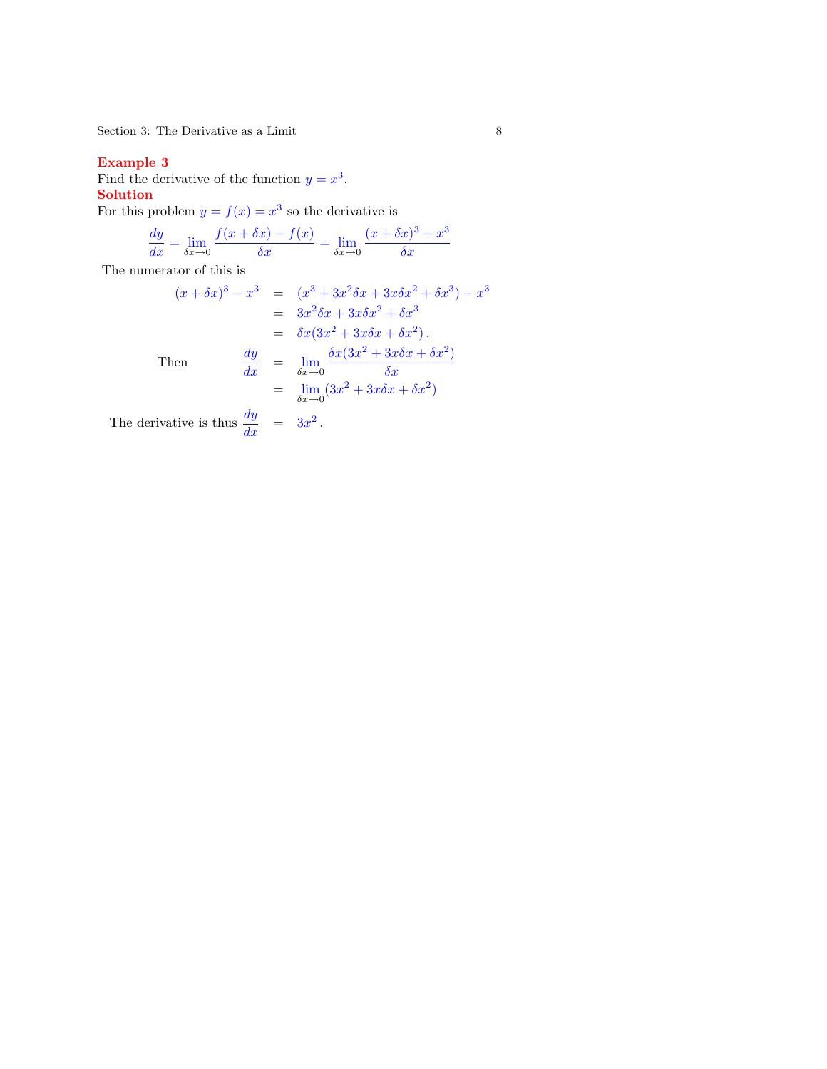### Example 3

Find the derivative of the function  $y = x^3$ . Solution

For this problem  $y = f(x) = x^3$  so the derivative is

$$
\frac{dy}{dx} = \lim_{\delta x \to 0} \frac{f(x + \delta x) - f(x)}{\delta x} = \lim_{\delta x \to 0} \frac{(x + \delta x)^3 - x^3}{\delta x}
$$

The numerator of this is

$$
(x + \delta x)^3 - x^3 = (x^3 + 3x^2\delta x + 3x\delta x^2 + \delta x^3) - x^3
$$
  
\n
$$
= 3x^2\delta x + 3x\delta x^2 + \delta x^3
$$
  
\n
$$
= \delta x(3x^2 + 3x\delta x + \delta x^2).
$$
  
\nThen 
$$
\frac{dy}{dx} = \lim_{\delta x \to 0} \frac{\delta x(3x^2 + 3x\delta x + \delta x^2)}{\delta x}
$$
  
\n
$$
= \lim_{\delta x \to 0} (3x^2 + 3x\delta x + \delta x^2)
$$
  
\nThe derivative is thus  $\frac{dy}{dx} = 3x^2$ .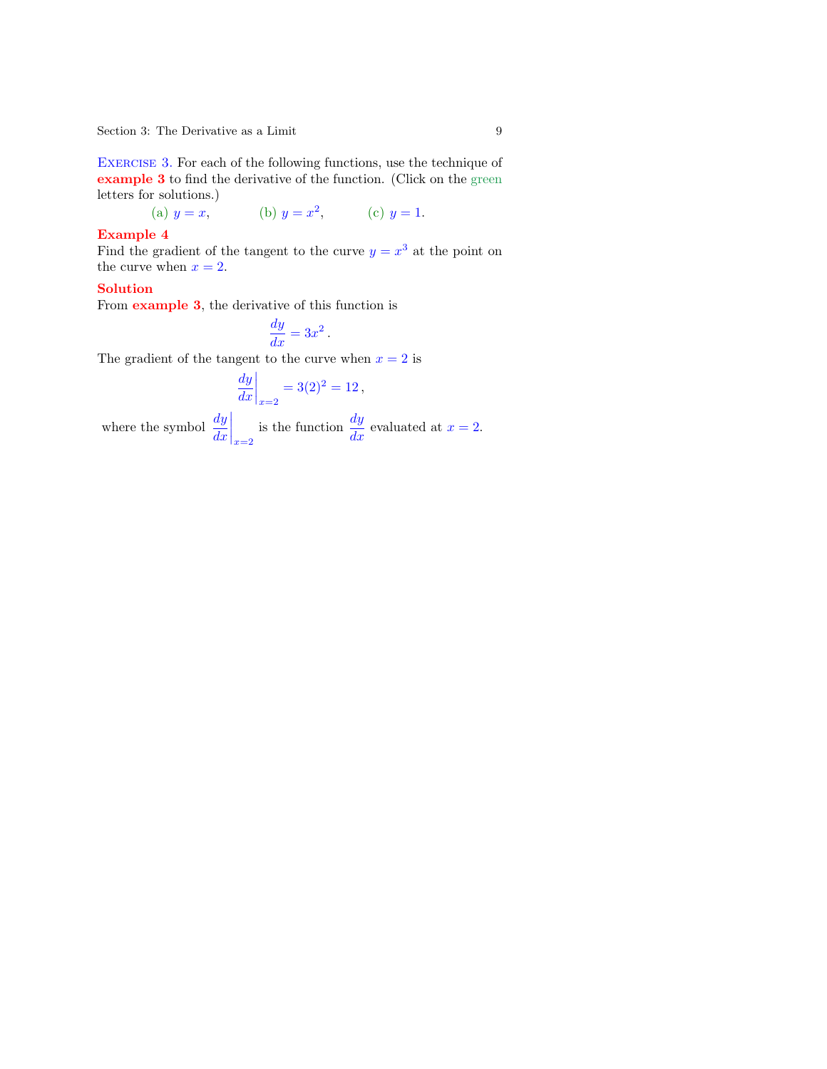Section 3: The Derivative as a Limit  $9$ 

EXERCISE 3. For each of the following functions, use the technique of example 3 to find the derivative of the function. (Click on the green letters for solutions.)

(a) 
$$
y = x
$$
, (b)  $y = x^2$ , (c)  $y = 1$ .

### Example 4

Find the gradient of the tangent to the curve  $y = x^3$  at the point on the curve when  $x = 2$ .

### Solution

From example 3, the derivative of this function is

$$
\frac{dy}{dx} = 3x^2.
$$

The gradient of the tangent to the curve when  $x = 2$  is

$$
\left. \frac{dy}{dx} \right|_{x=2} = 3(2)^2 = 12 \,,
$$

where the symbol  $\frac{dy}{dx}$  $\Big|_{x=2}$ is the function  $\frac{dy}{dx}$  evaluated at  $x = 2$ .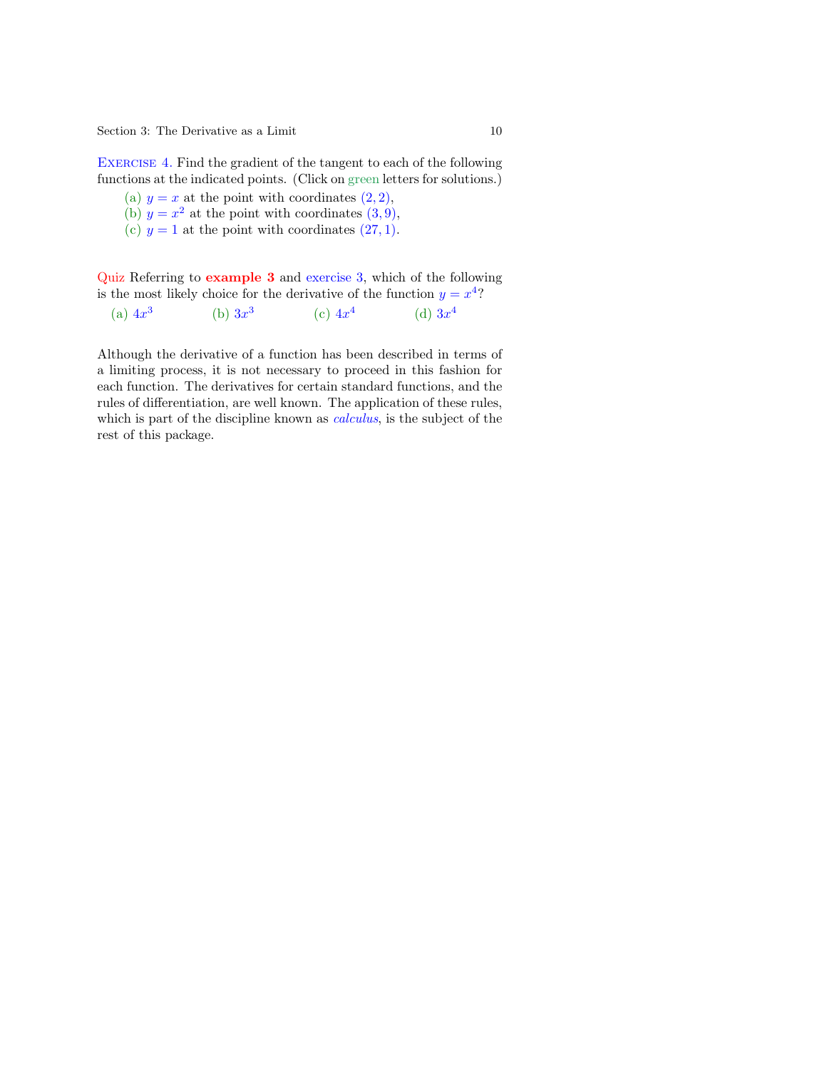<span id="page-9-0"></span>Section 3: The Derivative as a Limit 10

EXERCISE 4. Find the gradient of the tangent to each of the following functions at the indicated points. (Click on green letters for solutions.)

- (a)  $y = x$  at the point with coordinates  $(2, 2)$ ,
- (b)  $y = x^2$  at the point with coordinates  $(3, 9)$ ,
- (c)  $y = 1$  at the point with coordinates  $(27, 1)$ .

Quiz Referring to example 3 and exercise 3, which of the following is the most likely choice for the derivative of the function  $y = x^4$ ?  $(a)$  4 $x^3$ (b)  $3x^3$  $(c)$  4 $x^4$ (d)  $3x^4$ 

Although the derivative of a function has been described in terms of a limiting process, it is not necessary to proceed in this fashion for each function. The derivatives for certain standard functions, and the rules of differentiation, are well known. The application of these rules, which is part of the discipline known as *calculus*, is the subject of the rest of this package.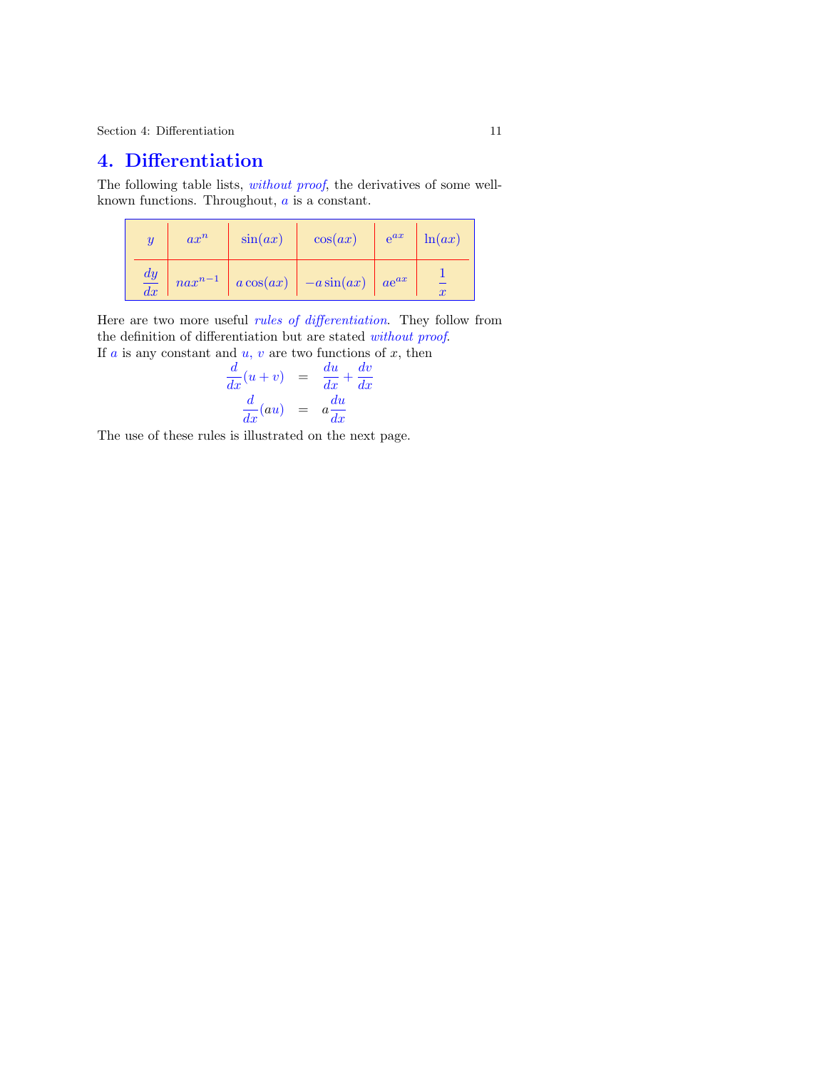# 4. Differentiation

The following table lists, *without proof*, the derivatives of some wellknown functions. Throughout,  $\alpha$  is a constant.

|  | $ax^n$ | $\sin(ax)$ | cos(ax)                                                                | $e^{ax}$ $\ln(ax)$ |
|--|--------|------------|------------------------------------------------------------------------|--------------------|
|  |        |            | $\frac{dy}{dx}$   $nax^{n-1}$   $a\cos(ax)$   $-a\sin(ax)$   $ae^{ax}$ |                    |

Here are two more useful rules of differentiation. They follow from the definition of differentiation but are stated without proof. If a is any constant and  $u, v$  are two functions of x, then

$$
\frac{d}{dx}(u+v) = \frac{du}{dx} + \frac{dv}{dx}
$$

$$
\frac{d}{dx}(au) = a\frac{du}{dx}
$$

The use of these rules is illustrated on the next page.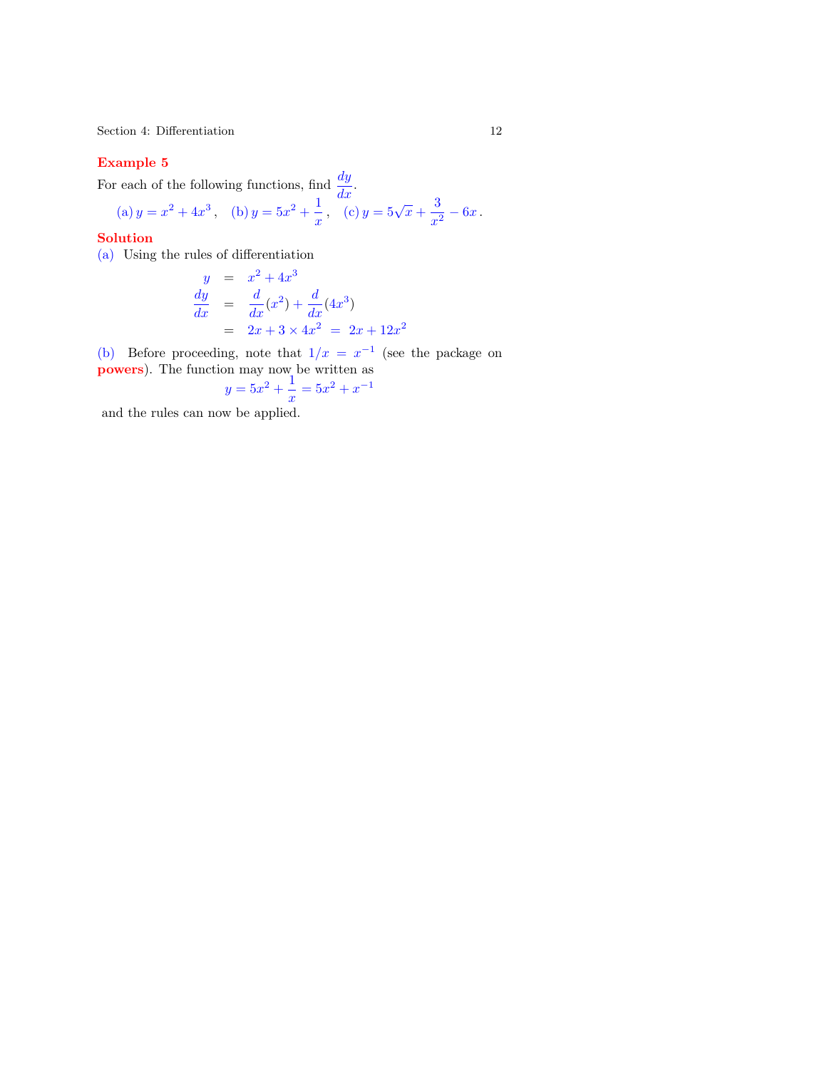### Example 5

For each of the following functions, find  $\frac{dy}{dx}$ .

(a) 
$$
y = x^2 + 4x^3
$$
, (b)  $y = 5x^2 + \frac{1}{x}$ , (c)  $y = 5\sqrt{x} + \frac{3}{x^2} - 6x$ .

#### Solution

(a) Using the rules of differentiation

$$
y = x2 + 4x3
$$
  
\n
$$
\frac{dy}{dx} = \frac{d}{dx}(x^{2}) + \frac{d}{dx}(4x^{3})
$$
  
\n
$$
= 2x + 3 \times 4x^{2} = 2x + 12x^{2}
$$

(b) Before proceeding, note that  $1/x = x^{-1}$  (see the package on **powers**). The function may now be written as

$$
y = 5x^2 + \frac{1}{x} = 5x^2 + x^{-1}
$$

and the rules can now be applied.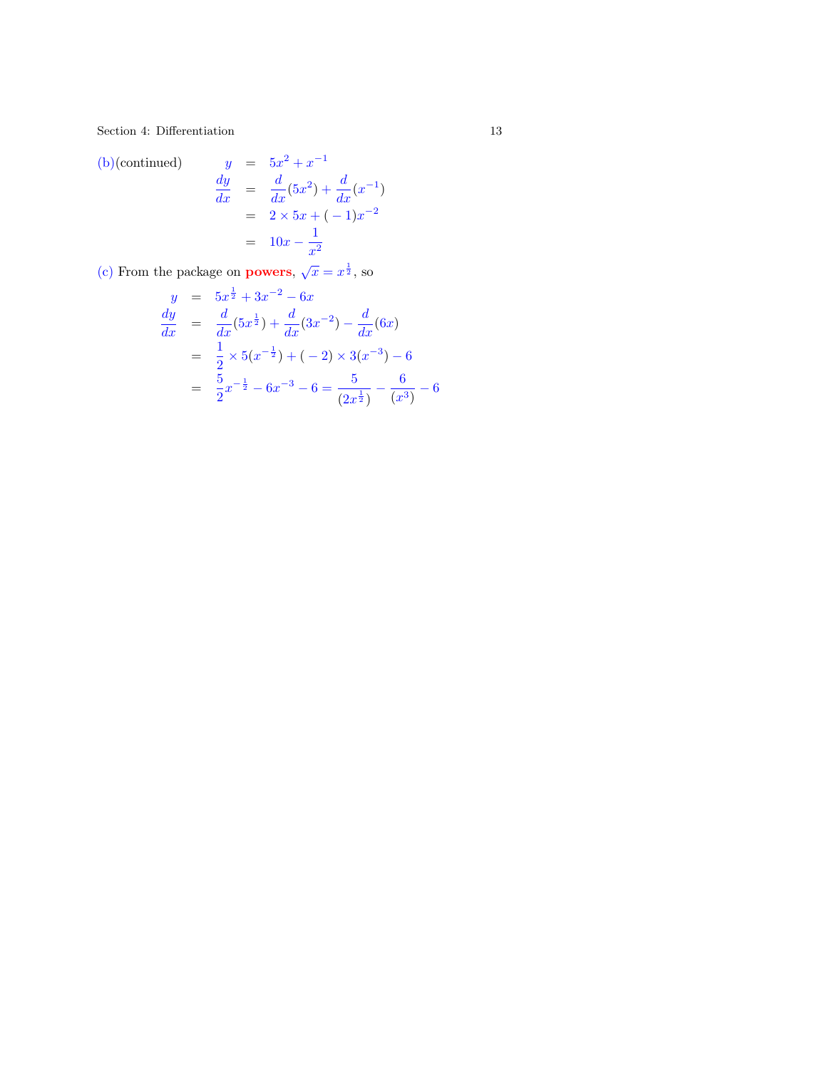Section 4: Differentiation 13

(b)(continued)  
\n
$$
\begin{array}{rcl}\ny & = & 5x^2 + x^{-1} \\
\frac{dy}{dx} & = & \frac{d}{dx}(5x^2) + \frac{d}{dx}(x^{-1}) \\
& = & 2 \times 5x + (-1)x^{-2} \\
& = & 10x - \frac{1}{x^2}\n\end{array}
$$

(c) From the package on **powers**,  $\sqrt{x} = x^{\frac{1}{2}}$ , so

$$
y = 5x^{\frac{1}{2}} + 3x^{-2} - 6x
$$
  
\n
$$
\frac{dy}{dx} = \frac{d}{dx}(5x^{\frac{1}{2}}) + \frac{d}{dx}(3x^{-2}) - \frac{d}{dx}(6x)
$$
  
\n
$$
= \frac{1}{2} \times 5(x^{-\frac{1}{2}}) + (-2) \times 3(x^{-3}) - 6
$$
  
\n
$$
= \frac{5}{2}x^{-\frac{1}{2}} - 6x^{-3} - 6 = \frac{5}{(2x^{\frac{1}{2}})} - \frac{6}{(x^3)} - 6
$$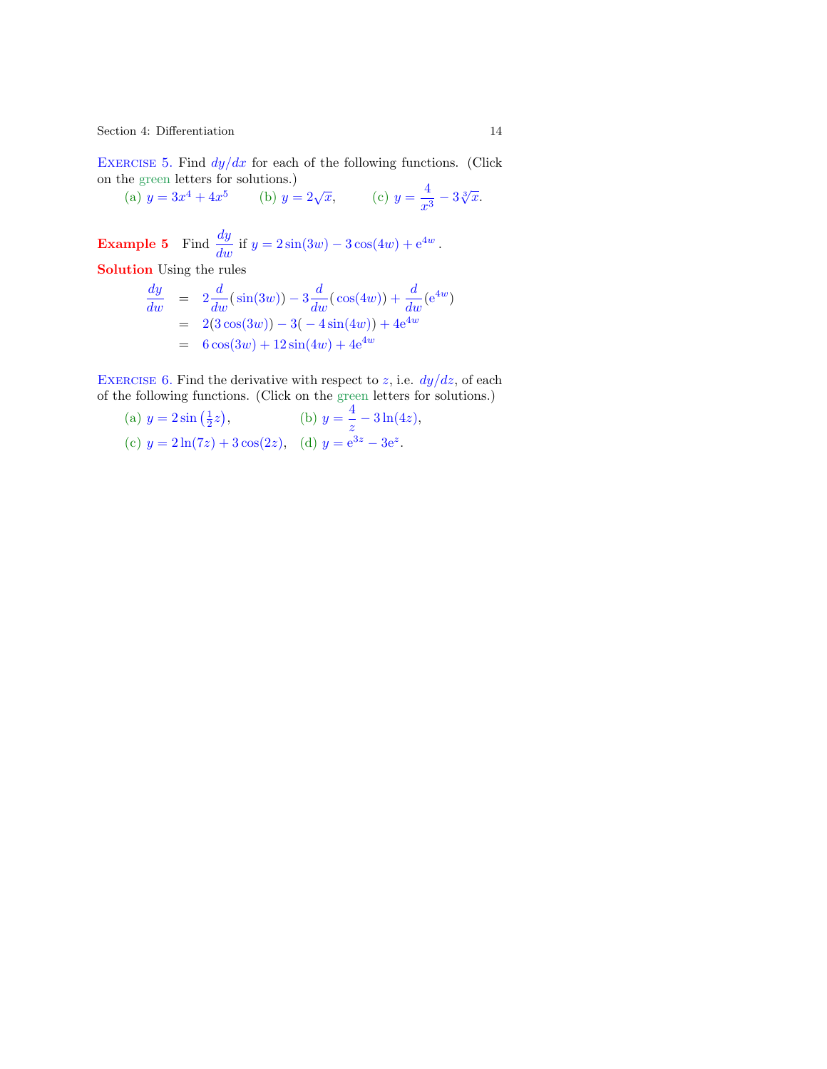Section 4: Differentiation 14

EXERCISE 5. Find  $dy/dx$  for each of the following functions. (Click on the green letters for solutions.)

(a)  $y = 3x^4 + 4x^5$  (b)  $y = 2\sqrt{x}$ , (c)  $y = \frac{4}{3}$  $\frac{4}{x^3} - 3\sqrt[3]{x}.$ 

**Example 5** Find  $\frac{dy}{dw}$  if  $y = 2\sin(3w) - 3\cos(4w) + e^{4w}$ . Solution Using the rules

$$
\frac{dy}{dw} = 2\frac{d}{dw}(\sin(3w)) - 3\frac{d}{dw}(\cos(4w)) + \frac{d}{dw}(e^{4w})
$$
  
= 2(3 cos(3w)) - 3(-4 sin(4w)) + 4e^{4w}  
= 6 cos(3w) + 12 sin(4w) + 4e^{4w}

EXERCISE 6. Find the derivative with respect to z, i.e.  $dy/dz$ , of each of the following functions. (Click on the green letters for solutions.)

(a) 
$$
y = 2\sin(\frac{1}{2}z)
$$
, (b)  $y = \frac{4}{z} - 3\ln(4z)$ ,  
(c)  $y = 2\ln(7z) + 3\cos(2z)$ , (d)  $y = e^{3z} - 3e^{z}$ .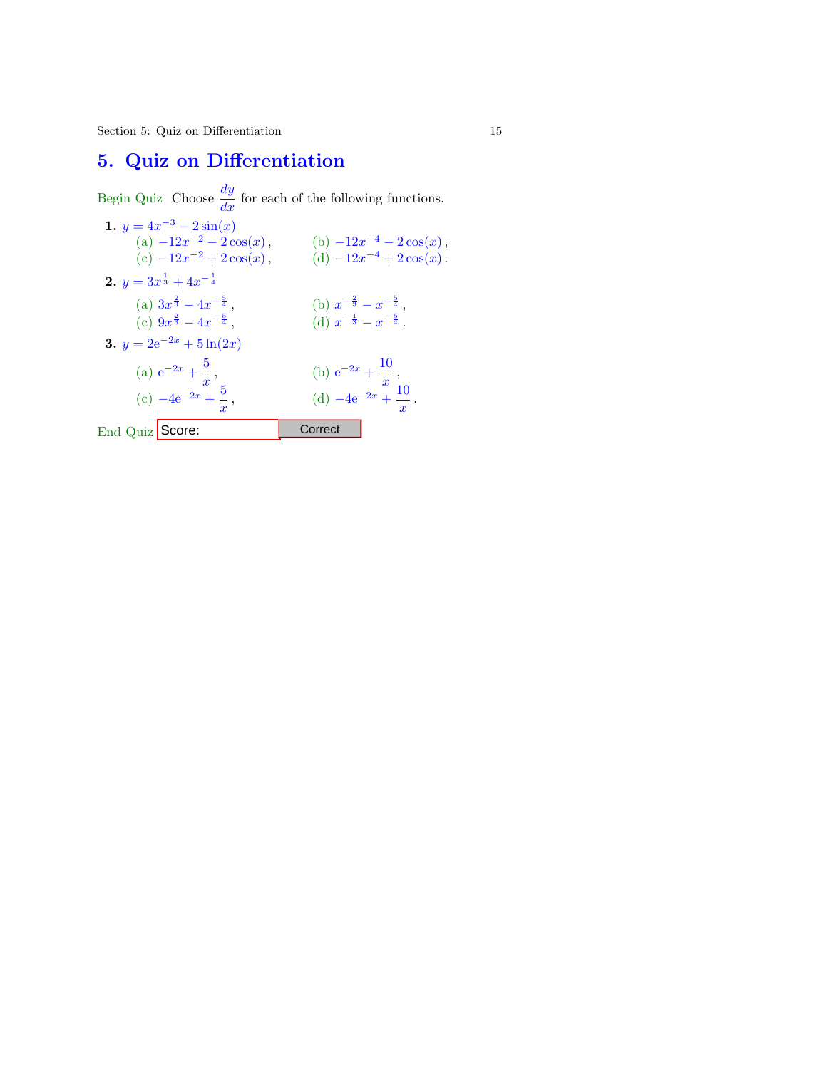Section 5: Quiz on Differentiation 15

# 5. Quiz on Differentiation

Begin Quiz Choose  $\frac{dy}{dx}$  for each of the following functions.

1. 
$$
y = 4x^{-3} - 2\sin(x)
$$
  
\n(a)  $-12x^{-2} - 2\cos(x)$ , (b)  $-12x^{-4} - 2\cos(x)$ ,  
\n(c)  $-12x^{-2} + 2\cos(x)$ , (d)  $-12x^{-4} + 2\cos(x)$ .  
\n2.  $y = 3x^{\frac{1}{3}} + 4x^{-\frac{1}{4}}$   
\n(a)  $3x^{\frac{2}{3}} - 4x^{-\frac{5}{4}}$ , (b)  $x^{-\frac{2}{3}} - x^{-\frac{5}{4}}$ ,  
\n(c)  $9x^{\frac{2}{3}} - 4x^{-\frac{5}{4}}$ , (d)  $x^{-\frac{1}{3}} - x^{-\frac{5}{4}}$ .  
\n3.  $y = 2e^{-2x} + 5\ln(2x)$   
\n(a)  $e^{-2x} + \frac{5}{x}$ , (b)  $e^{-2x} + \frac{10}{x}$ ,  
\n(c)  $-4e^{-2x} + \frac{5}{x}$ , (d)  $-4e^{-2x} + \frac{10}{x}$ .  
\nEnd Quiz **Score**. Correct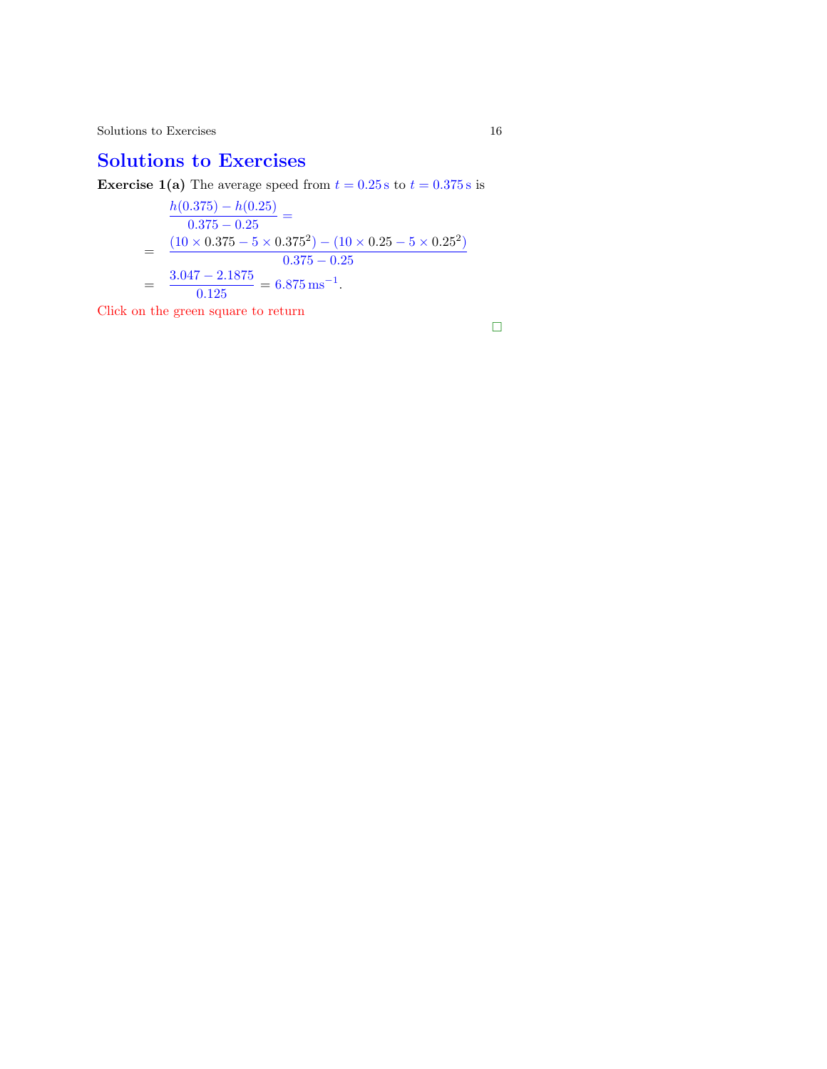# Solutions to Exercises

**Exercise 1(a)** The average speed from  $t = 0.25$  s to  $t = 0.375$  s is

$$
\frac{h(0.375) - h(0.25)}{0.375 - 0.25} =
$$
\n
$$
= \frac{(10 \times 0.375 - 5 \times 0.375^{2}) - (10 \times 0.25 - 5 \times 0.25^{2})}{0.375 - 0.25}
$$
\n
$$
= \frac{3.047 - 2.1875}{0.125} = 6.875 \text{ ms}^{-1}.
$$

Click on the green square to return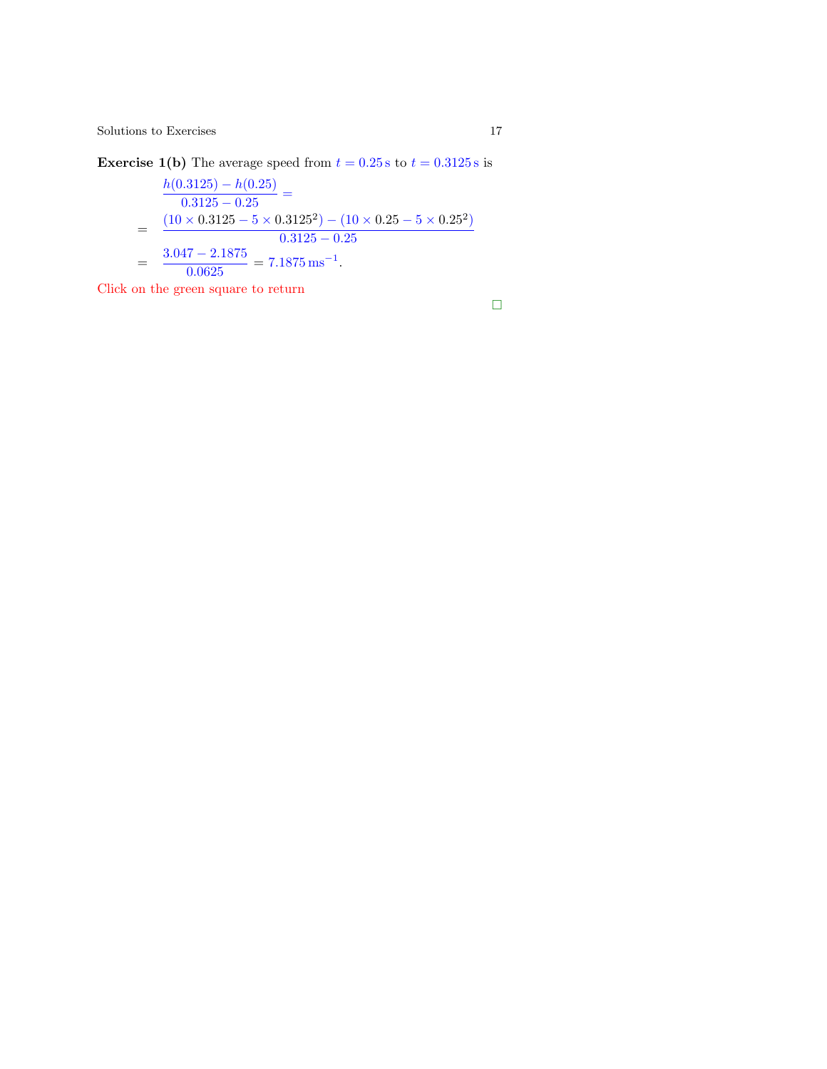<span id="page-16-0"></span> $\begin{tabular}{c} Solutions to Exercises \\ \end{tabular} \begin{tabular}{c} \textbf{17} \\ \textbf{21} \\ \textbf{32} \\ \textbf{43} \\ \textbf{54} \\ \textbf{65} \\ \textbf{76} \\ \textbf{87} \\ \textbf{98} \\ \textbf{108} \\ \textbf{117} \\ \textbf{129} \\ \textbf{130} \\ \textbf{140} \\ \textbf{150} \\ \textbf{160} \\ \textbf{17} \\ \textbf{180} \\ \textbf{190} \\ \textbf{190} \\ \textbf{190} \\ \textbf{100} \\ \textbf{10$ 

**Exercise 1(b)** The average speed from  $t = 0.25$  s to  $t = 0.3125$  s is

$$
\frac{h(0.3125) - h(0.25)}{0.3125 - 0.25} =
$$
\n
$$
= \frac{(10 \times 0.3125 - 5 \times 0.3125^{2}) - (10 \times 0.25 - 5 \times 0.25^{2})}{0.3125 - 0.25}
$$
\n
$$
= \frac{3.047 - 2.1875}{0.0625} = 7.1875 \text{ ms}^{-1}.
$$

Click on the green square to return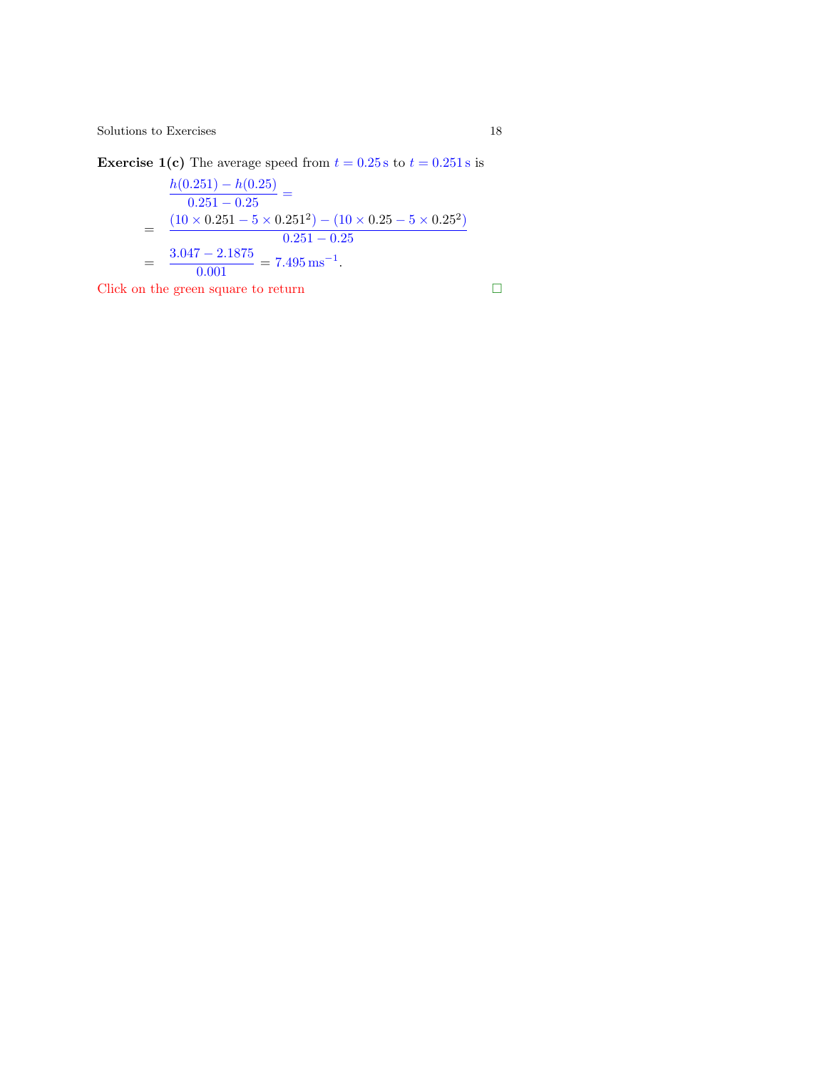**Exercise 1(c)** The average speed from  $t = 0.25$  $t = 0.25$  $t = 0.25$  s to  $t = 0.251$  s is

$$
\frac{h(0.251) - h(0.25)}{0.251 - 0.25} =
$$
\n
$$
= \frac{(10 \times 0.251 - 5 \times 0.251^{2}) - (10 \times 0.25 - 5 \times 0.25^{2})}{0.251 - 0.25}
$$
\n
$$
= \frac{3.047 - 2.1875}{0.001} = 7.495 \,\text{ms}^{-1}.
$$

Click on the green square to return  $\hfill\Box$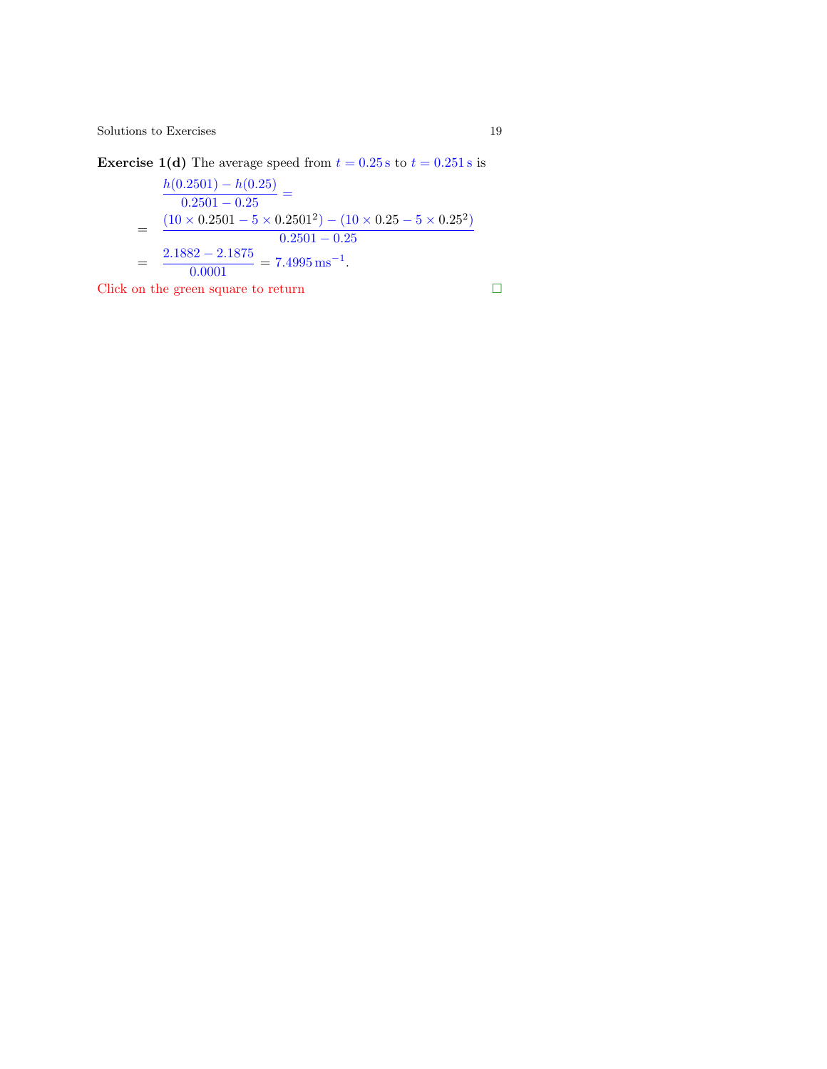<span id="page-18-0"></span> $\begin{tabular}{c} Solutions to Exercises \\ \end{tabular} \begin{tabular}{c} \textbf{5} & \textbf{19} \\ \textbf{19} & \textbf{21} \\ \end{tabular}$ 

**Exercise 1(d)** The average speed from  $t = 0.25$  $t = 0.25$  $t = 0.25$  s to  $t = 0.251$  s is

$$
\frac{h(0.2501) - h(0.25)}{0.2501 - 0.25} =
$$
\n
$$
= \frac{(10 \times 0.2501 - 5 \times 0.2501^2) - (10 \times 0.25 - 5 \times 0.25^2)}{0.2501 - 0.25}
$$
\n
$$
= \frac{2.1882 - 2.1875}{0.0001} = 7.4995 \text{ ms}^{-1}.
$$

Click on the green square to return  $\hfill\Box$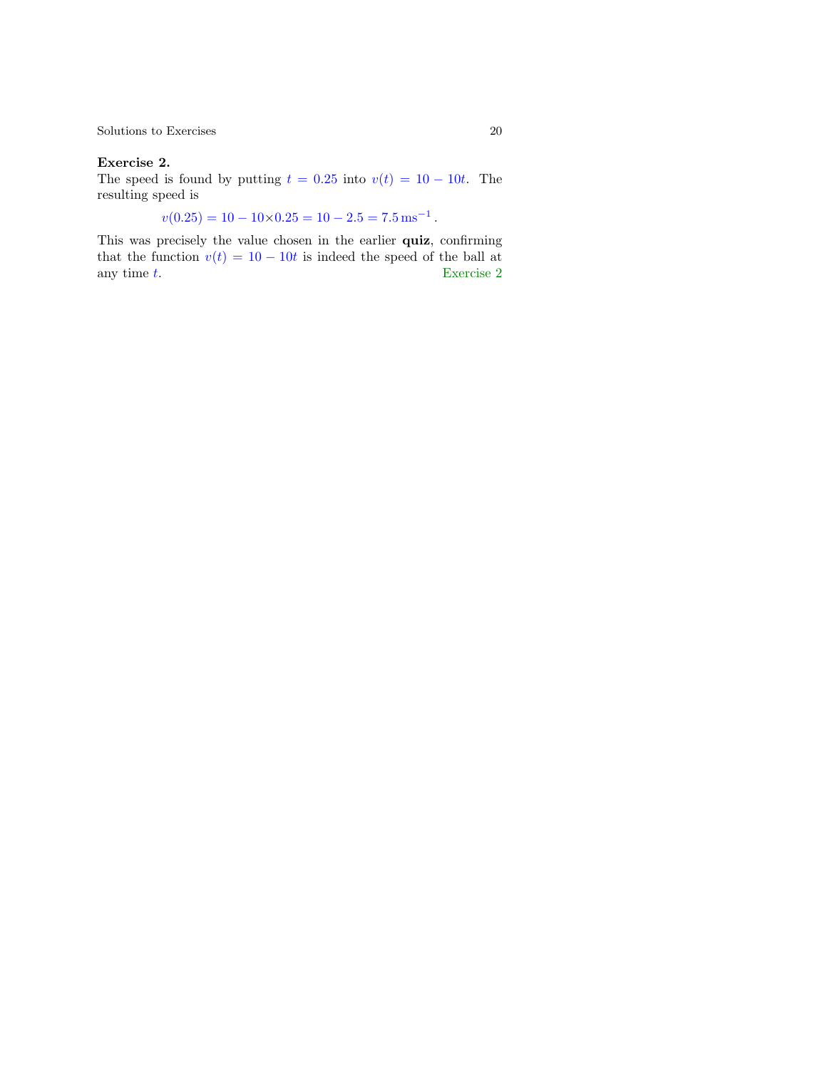### Exercise 2.

The speed is found by putting  $t = 0.25$  into  $v(t) = 10 - 10t$ . The resulting speed is

$$
v(0.25) = 10 - 10 \times 0.25 = 10 - 2.5 = 7.5
$$
 ms<sup>-1</sup>.

This was precisely the value chosen in the earlier quiz, confirming that the function  $v(t) = 10 - 10t$  is indeed the speed of the ball at any time  $t$ . Exercise 2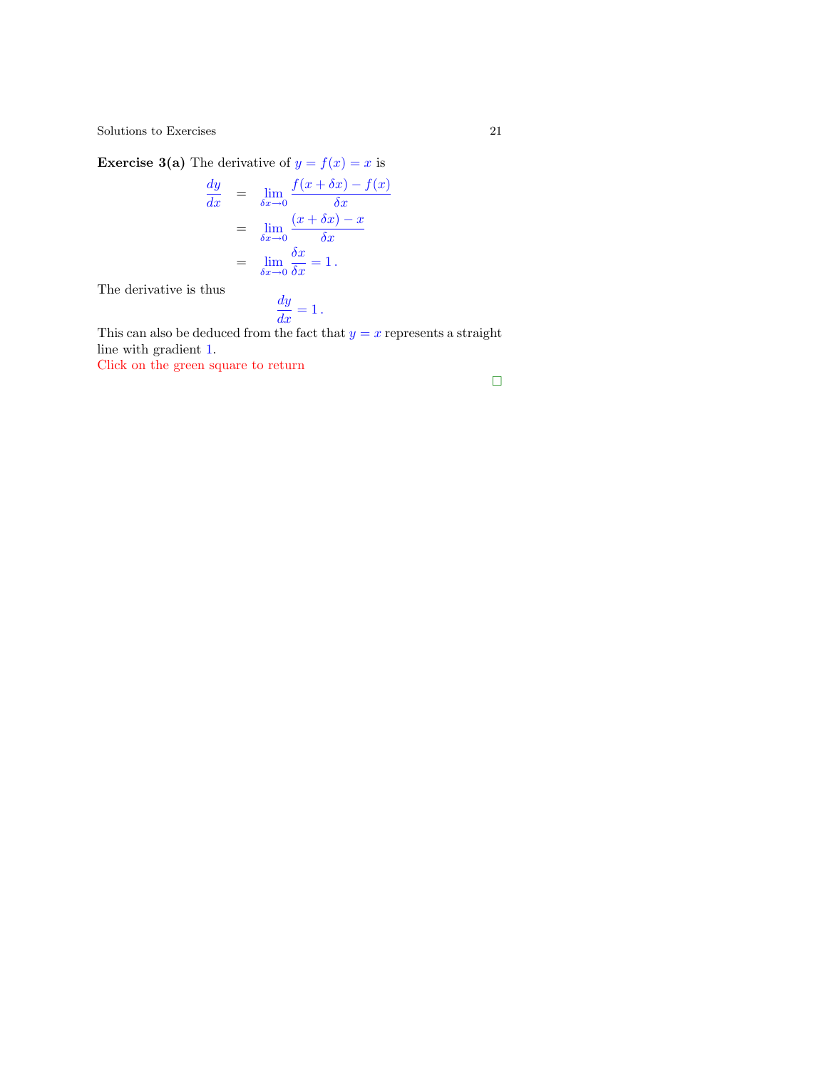**Exercise 3(a)** The derivative of  $y = f(x) = x$  is

$$
\frac{dy}{dx} = \lim_{\delta x \to 0} \frac{f(x + \delta x) - f(x)}{\delta x}
$$

$$
= \lim_{\delta x \to 0} \frac{(x + \delta x) - x}{\delta x}
$$

$$
= \lim_{\delta x \to 0} \frac{\delta x}{\delta x} = 1.
$$

The derivative is thus

$$
\frac{dy}{dx} = 1\,.
$$

This can also be deduced from the fact that  $y = x$  represents a straight line with gradient 1.

Click on the green square to return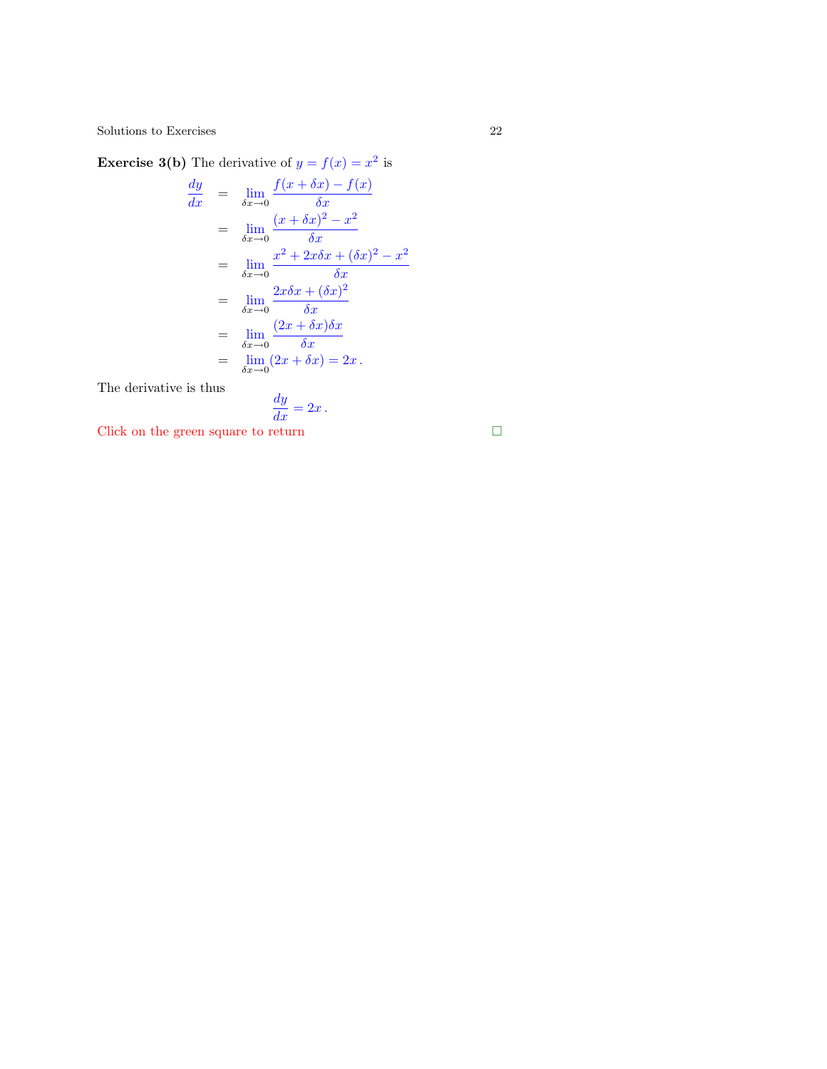**Exercise 3(b)** The derivative of  $y = f(x) = x^2$  is

$$
\frac{dy}{dx} = \lim_{\delta x \to 0} \frac{f(x + \delta x) - f(x)}{\delta x}
$$
\n
$$
= \lim_{\delta x \to 0} \frac{(x + \delta x)^2 - x^2}{\delta x}
$$
\n
$$
= \lim_{\delta x \to 0} \frac{x^2 + 2x\delta x + (\delta x)^2 - x^2}{\delta x}
$$
\n
$$
= \lim_{\delta x \to 0} \frac{2x\delta x + (\delta x)^2}{\delta x}
$$
\n
$$
= \lim_{\delta x \to 0} \frac{(2x + \delta x)\delta x}{\delta x}
$$
\n
$$
= \lim_{\delta x \to 0} (2x + \delta x) = 2x.
$$

The derivative is thus

$$
\frac{dy}{dx} = 2x.
$$

Click on the green square to return  $\hfill\Box$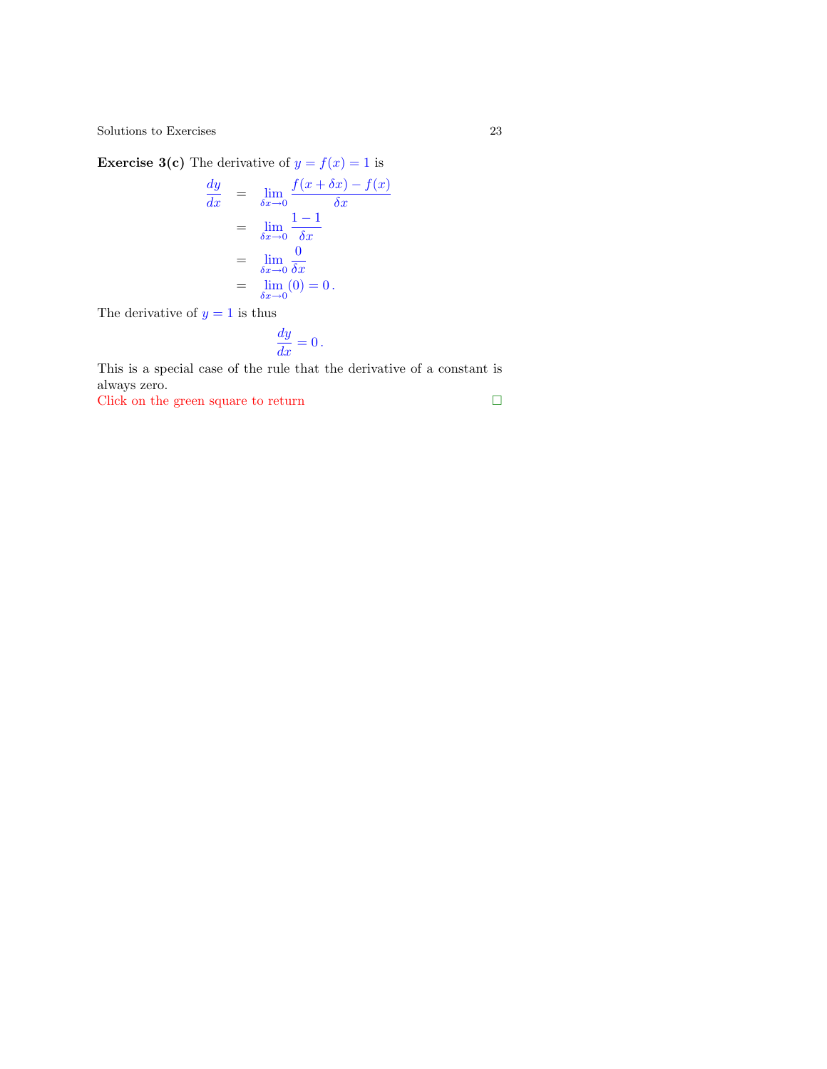**Exercise 3(c)** The derivative of  $y = f(x) = 1$  is

$$
\frac{dy}{dx} = \lim_{\delta x \to 0} \frac{f(x + \delta x) - f(x)}{\delta x}
$$

$$
= \lim_{\delta x \to 0} \frac{1 - 1}{\delta x}
$$

$$
= \lim_{\delta x \to 0} \frac{0}{\delta x}
$$

$$
= \lim_{\delta x \to 0} (0) = 0.
$$

The derivative of  $y = 1$  is thus

$$
\frac{dy}{dx} = 0\,.
$$

This is a special case of the rule that the derivative of a constant is always zero.

Click on the green square to return  $\hfill \square$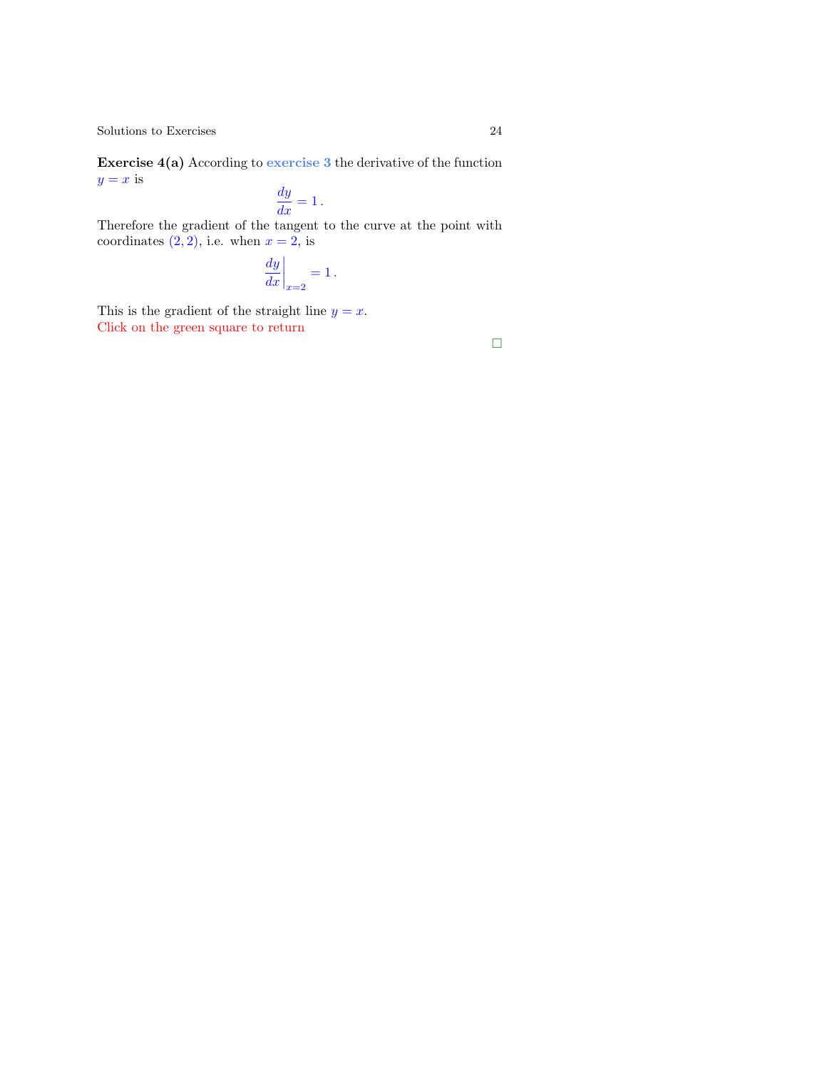**Exercise 4(a)** According to **exercise 3** the derivative of the function  $y = x$  is  $\frac{d}{dx}$ 

$$
\frac{dy}{dx} = 1.
$$

Therefore the gradient of the tangent to the curve at [the](#page-9-0) point with coordinates  $(2, 2)$ , i.e. when  $x = 2$ , is

$$
\left. \frac{dy}{dx} \right|_{x=2} = 1 \, .
$$

This is the gradient of the straight line  $y = x$ . Click on the green square to return

$$
\Box
$$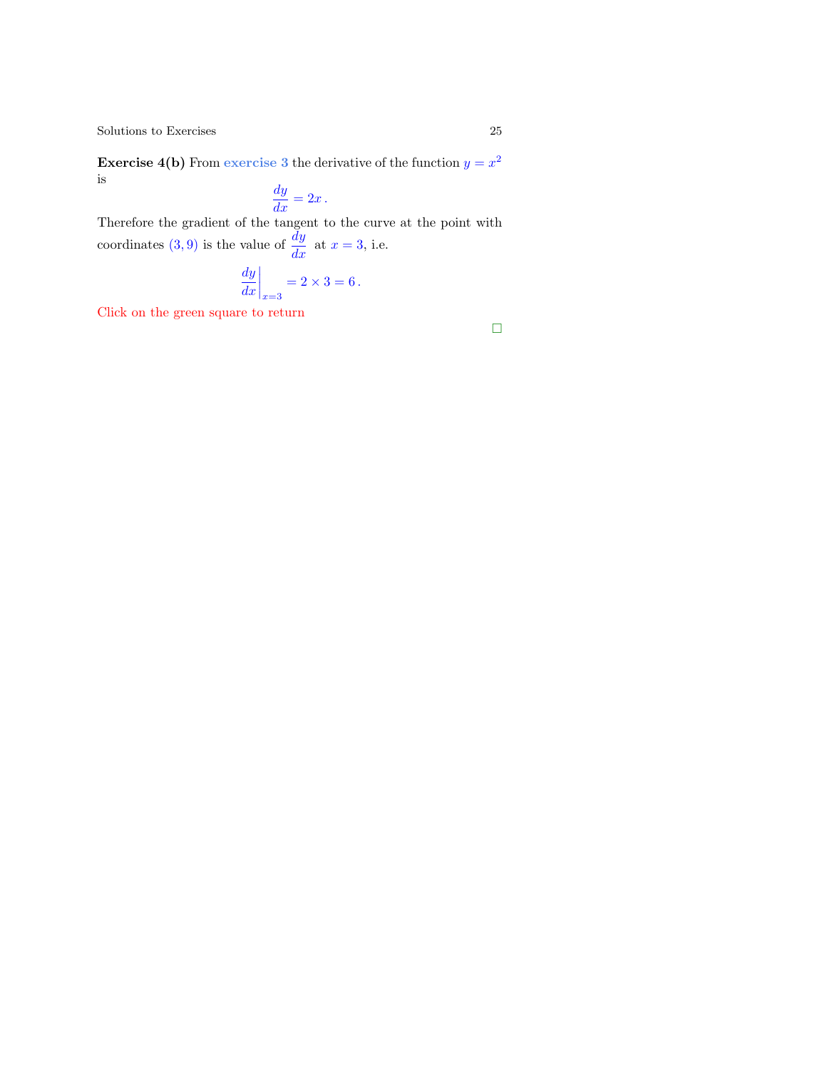**Exercise 4(b)** From exercise 3 the derivative of the function  $y = x^2$ is

 $\frac{dy}{dx} = 2x$ .

Therefore the gradient of the tangent to the curve at the point with coordinates (3, 9) is the value of  $\frac{dy}{dx}$  at  $x = 3$ , i.e.

$$
\left. \frac{dy}{dx} \right|_{x=3} = 2 \times 3 = 6 \, .
$$

Click on the green square to return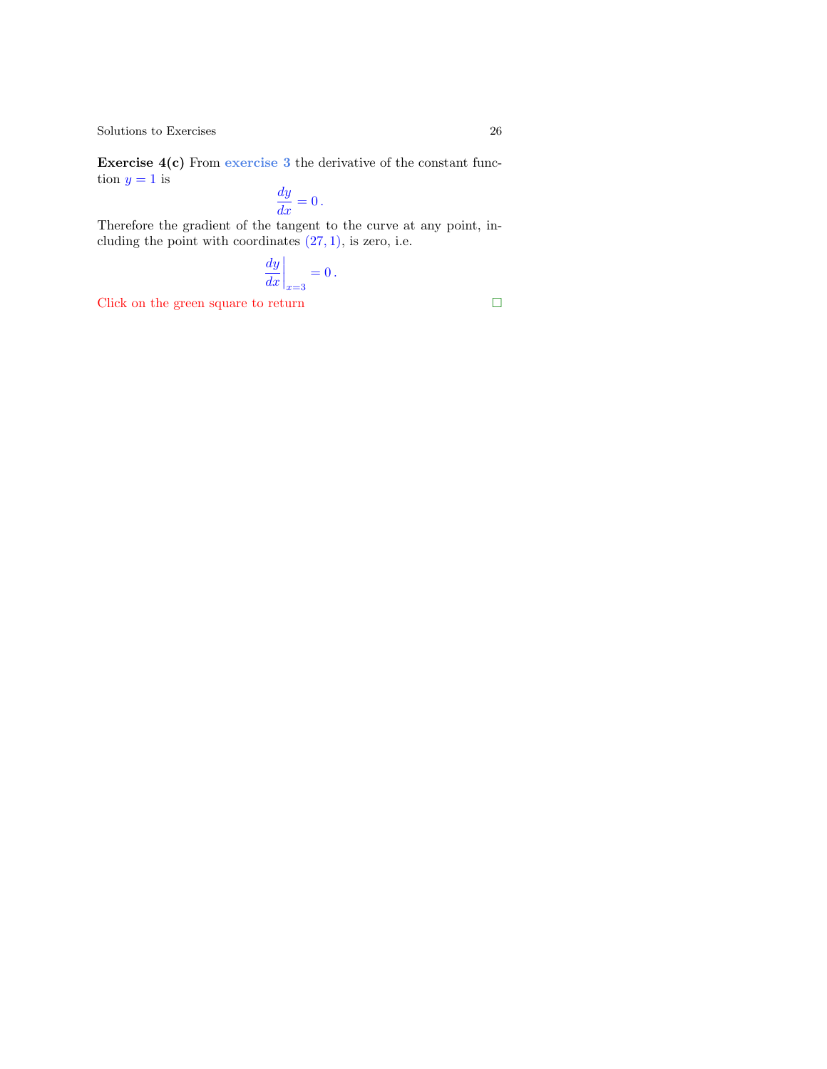Exercise  $4(c)$  From exercise 3 the derivative of the constant function  $y = 1$  is  $\overline{d}_{01}$ 

$$
\frac{dy}{dx} = 0.
$$

Therefore the gradient of the tangent to the curve at any point, including the point with coordinates  $(27, 1)$ , is zero, i.e.

$$
\left. \frac{dy}{dx} \right|_{x=3} = 0 \, .
$$

Click on the green square to return  $\hfill \Box$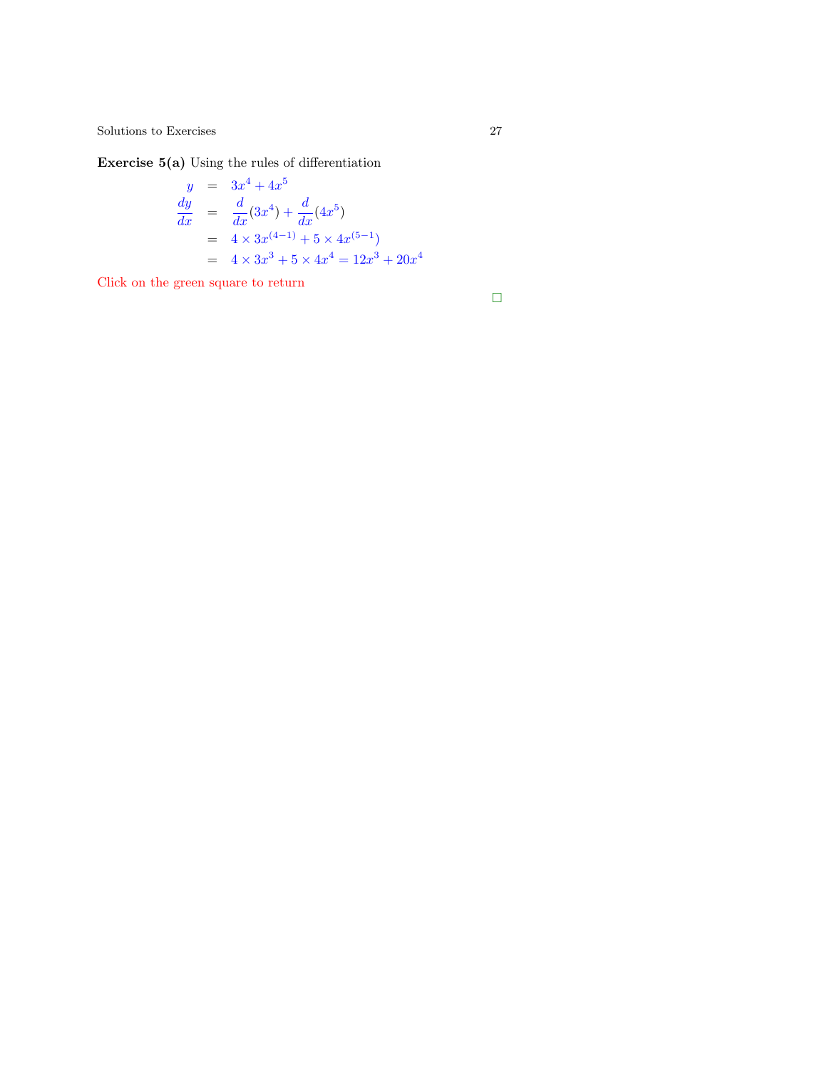Exercise 5(a) Using the rules of differentiation

$$
y = 3x^{4} + 4x^{5}
$$
  
\n
$$
\frac{dy}{dx} = \frac{d}{dx}(3x^{4}) + \frac{d}{dx}(4x^{5})
$$
  
\n
$$
= 4 \times 3x^{(4-1)} + 5 \times 4x^{(5-1)}
$$
  
\n
$$
= 4 \times 3x^{3} + 5 \times 4x^{4} = 12x^{3} + 20x^{4}
$$

Click on the green square to return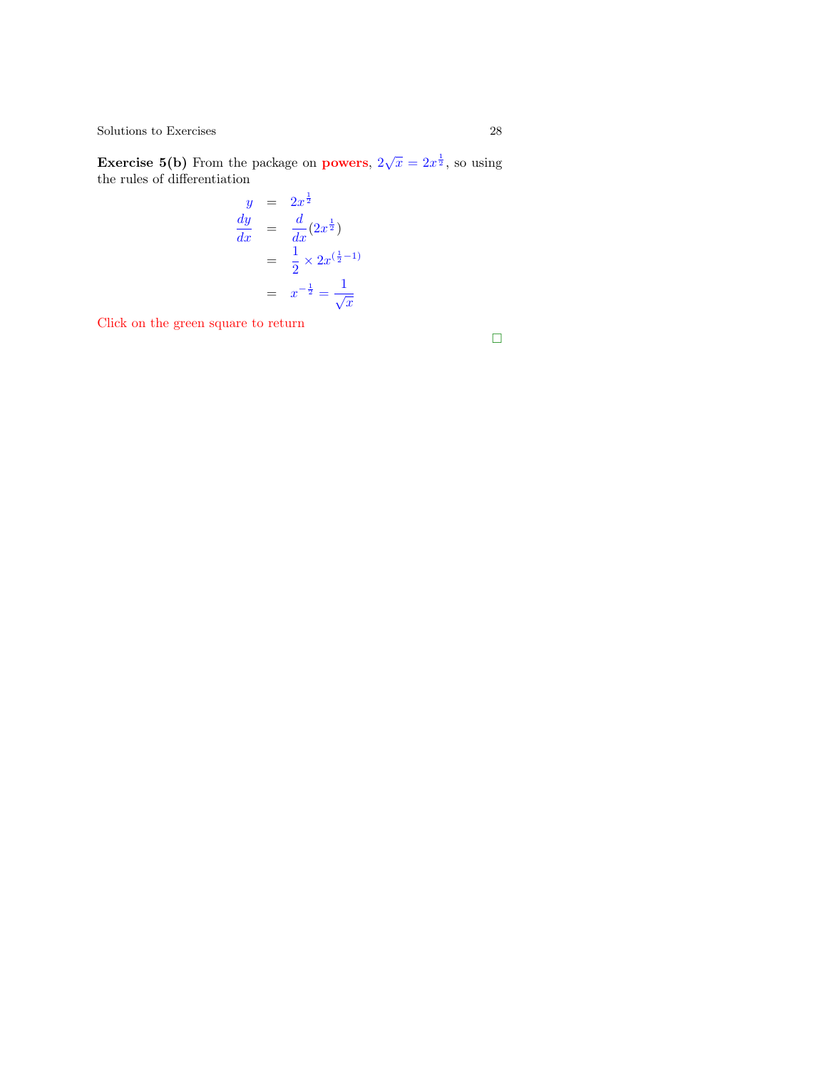**Exercise 5(b)** From the package on **powers**,  $2\sqrt{x} = 2x^{\frac{1}{2}}$ , so using the rules of differentiation

$$
y = 2x^{\frac{1}{2}}
$$
  
\n
$$
\frac{dy}{dx} = \frac{d}{dx}(2x^{\frac{1}{2}})
$$
  
\n
$$
= \frac{1}{2} \times 2x^{(\frac{1}{2}-1)}
$$
  
\n
$$
= x^{-\frac{1}{2}} = \frac{1}{\sqrt{x}}
$$

Click on the green square to return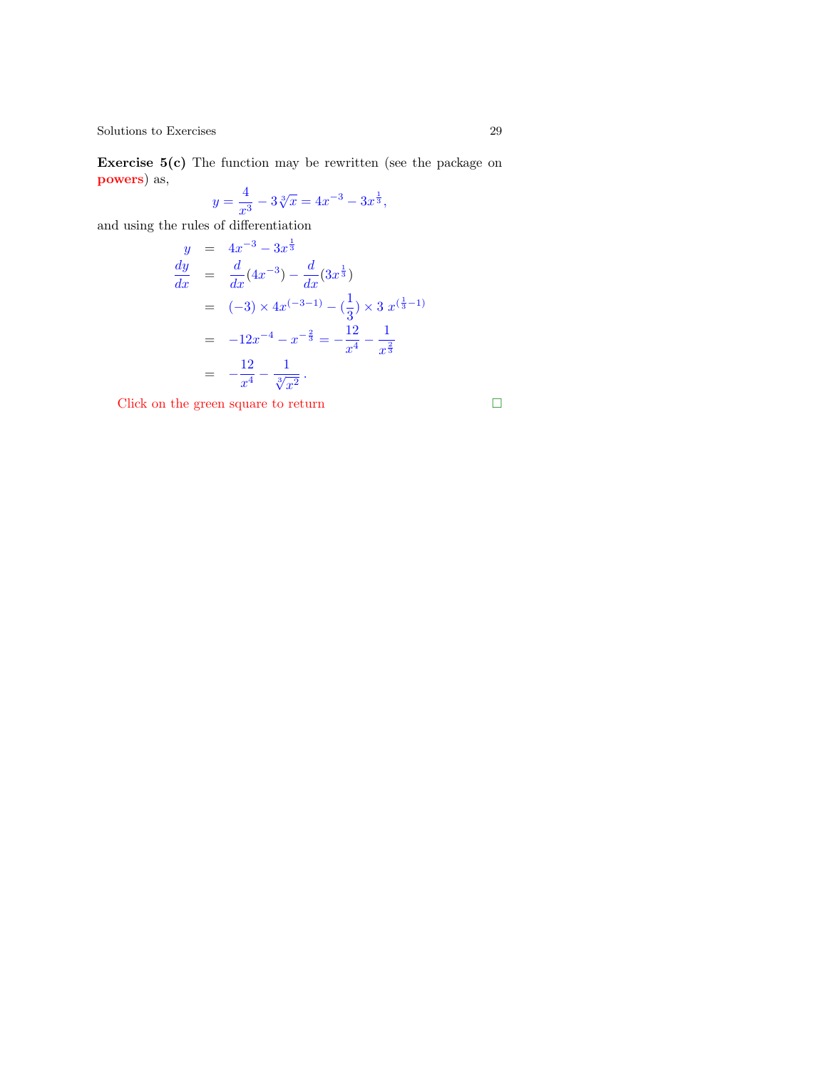Exercise 5(c) The function may be rewritten (see the package on powers) as,  $\overline{4}$ 

$$
y = \frac{4}{x^3} - 3\sqrt[3]{x} = 4x^{-3} - 3x^{\frac{1}{3}},
$$

and using the rules of differentiation

$$
y = 4x^{-3} - 3x^{\frac{1}{3}}
$$
  
\n
$$
\frac{dy}{dx} = \frac{d}{dx}(4x^{-3}) - \frac{d}{dx}(3x^{\frac{1}{3}})
$$
  
\n
$$
= (-3) \times 4x^{(-3-1)} - (\frac{1}{3}) \times 3 \ x^{(\frac{1}{3}-1)}
$$
  
\n
$$
= -12x^{-4} - x^{-\frac{2}{3}} = -\frac{12}{x^4} - \frac{1}{x^{\frac{2}{3}}}
$$
  
\n
$$
= -\frac{12}{x^4} - \frac{1}{\sqrt[3]{x^2}}.
$$

Click on the green square to return  $\hfill \square$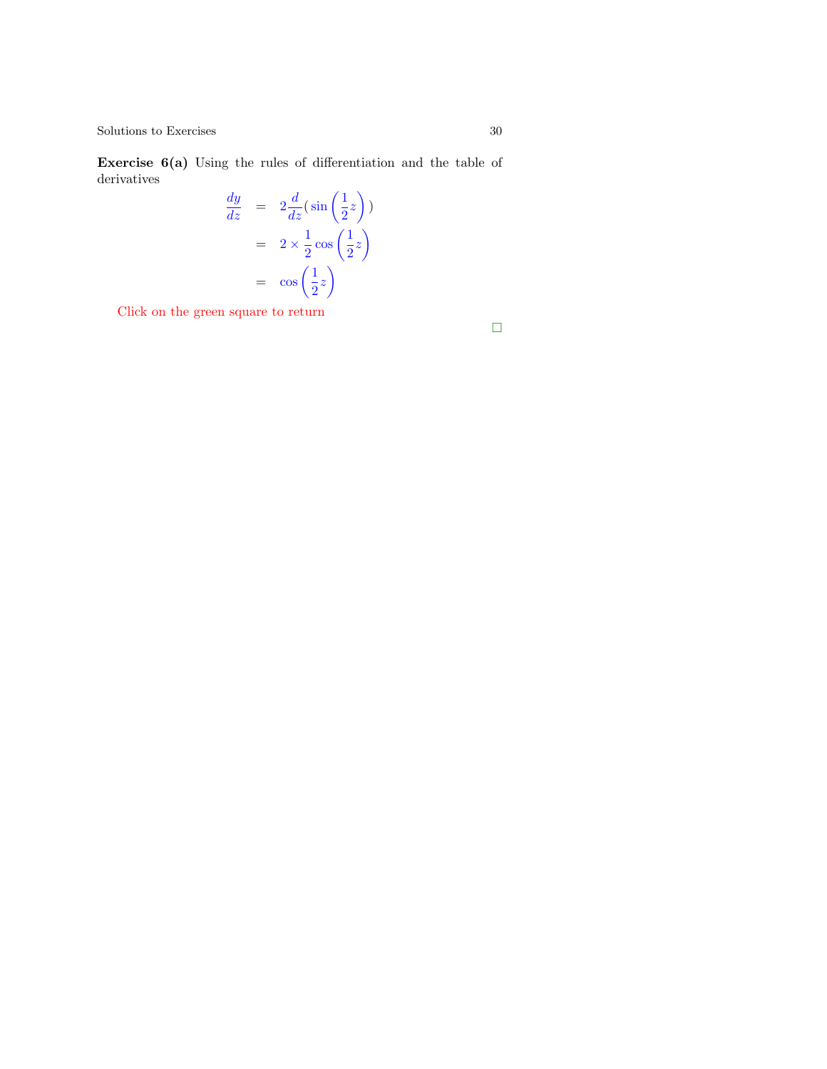Exercise 6(a) Using the rules of differentiation and the table of derivatives

$$
\frac{dy}{dz} = 2\frac{d}{dz} \left( \sin\left(\frac{1}{2}z\right) \right)
$$

$$
= 2 \times \frac{1}{2} \cos\left(\frac{1}{2}z\right)
$$

$$
= \cos\left(\frac{1}{2}z\right)
$$

Click on the green square to return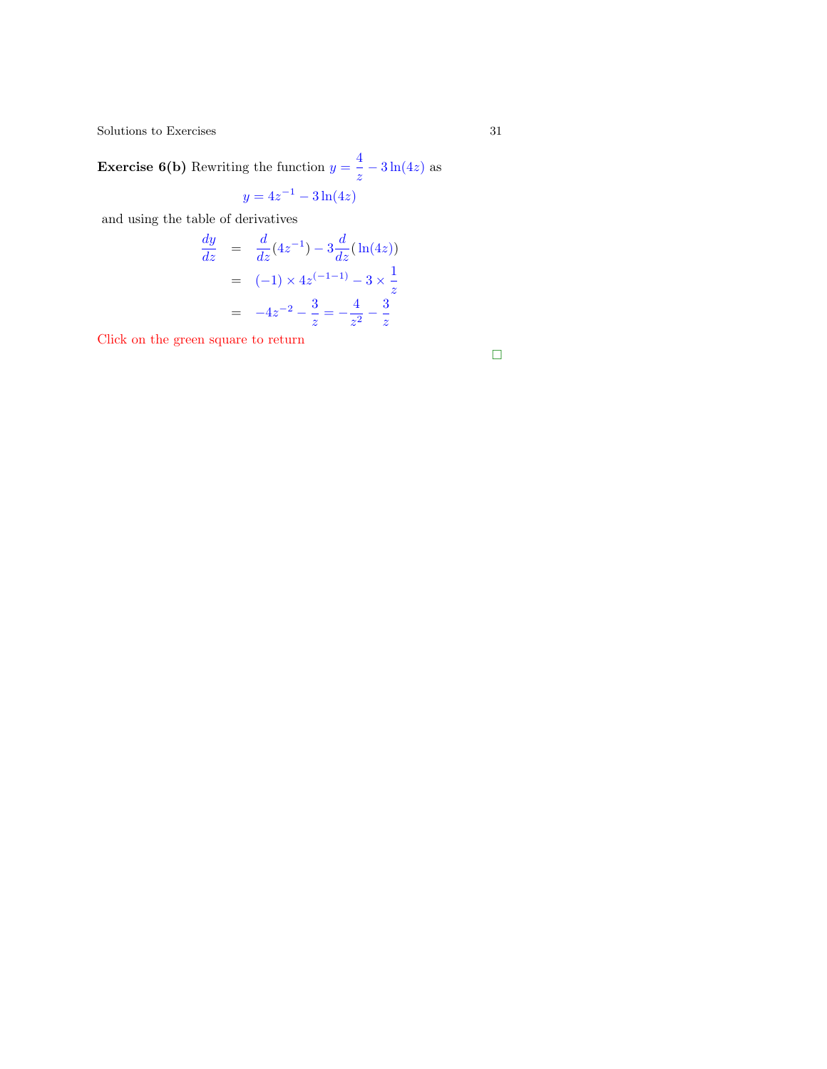<span id="page-30-0"></span>**Exercise 6(b)** Rewriting the function  $y = \frac{4}{3}$  $\frac{1}{z} - 3\ln(4z)$  as

$$
y = 4z^{-1} - 3\ln(4z)
$$

and using the table of derivatives

$$
\frac{dy}{dz} = \frac{d}{dz}(4z^{-1}) - 3\frac{d}{dz}(\ln(4z))
$$
  
= (-1) \times 4z^{(-1-1)} - 3 \times \frac{1}{z}  
= -4z^{-2} - \frac{3}{z} = -\frac{4}{z^2} - \frac{3}{z}

Click on the green square to return

$$
\qquad \qquad \Box
$$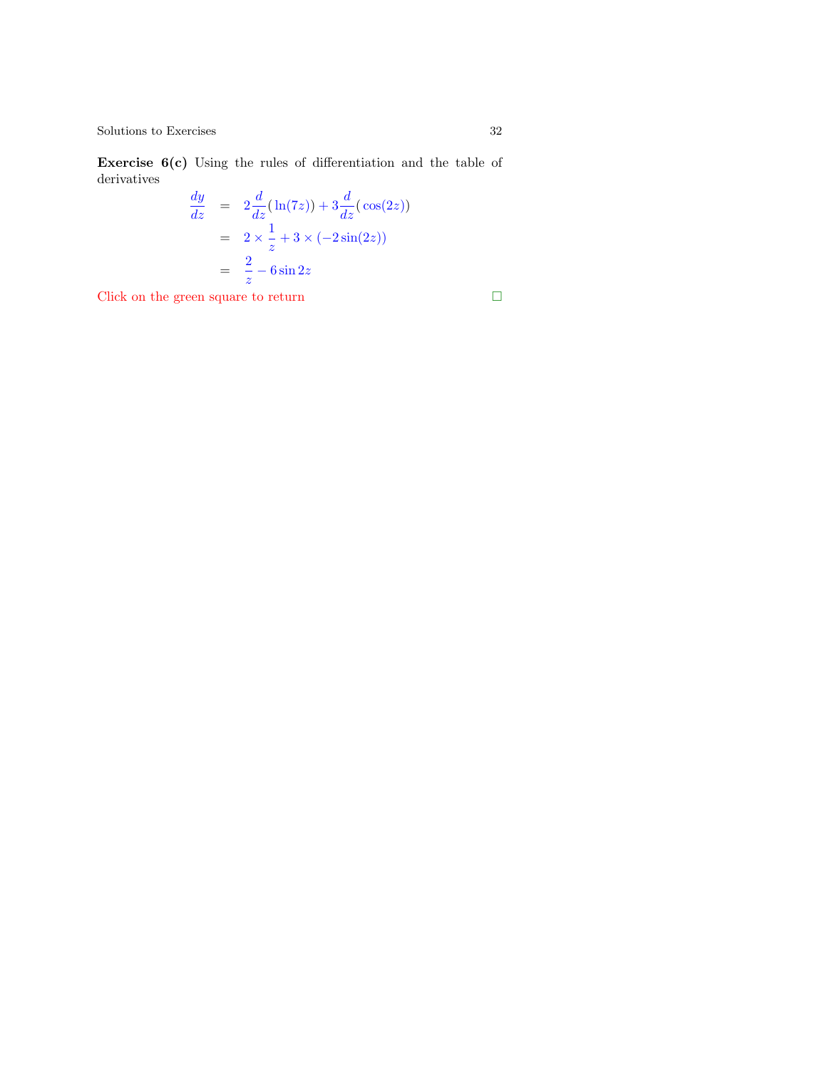$\begin{tabular}{c} Solutions to Exercises \\ 32 \end{tabular}$ 

Exercise 6(c) Using the rules of differentiation and the table of derivatives

$$
\frac{dy}{dz} = 2\frac{d}{dz}(\ln(7z)) + 3\frac{d}{dz}(\cos(2z))
$$

$$
= 2 \times \frac{1}{z} + 3 \times (-2\sin(2z))
$$

$$
= \frac{2}{z} - 6\sin 2z
$$

Click on the green square to return  $\hfill \square$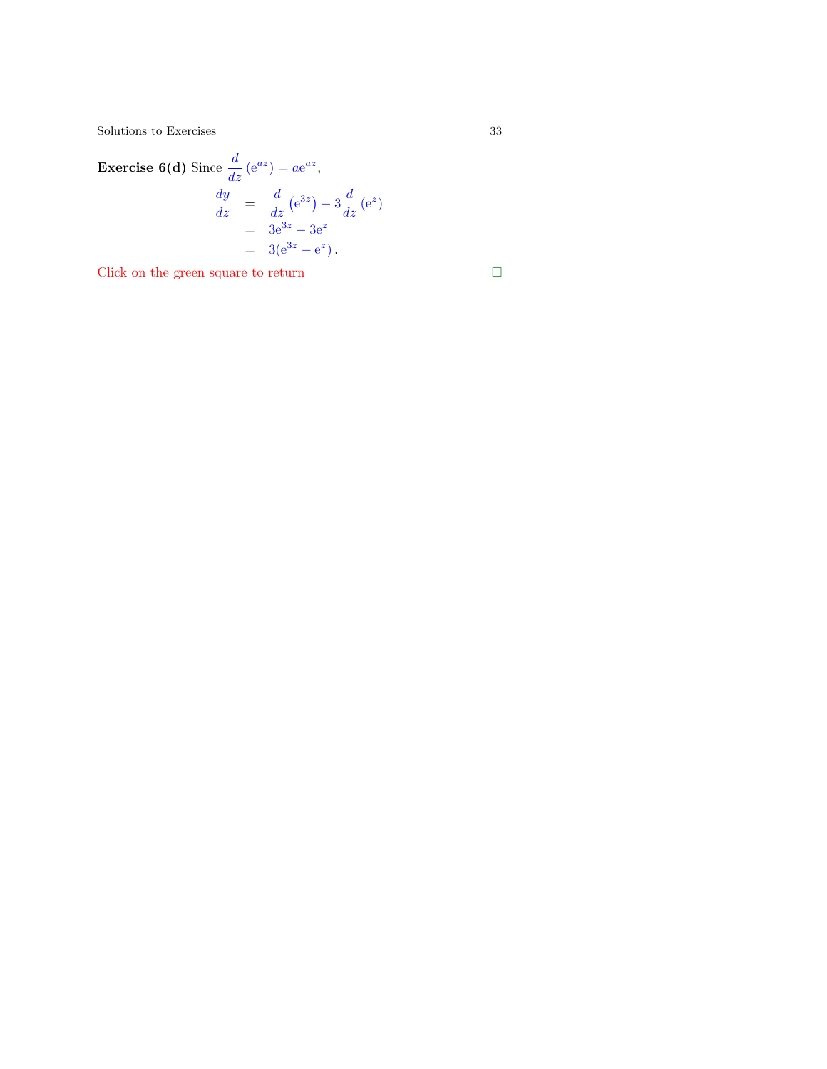<span id="page-32-0"></span>**Exercise 6(d)** Since 
$$
\frac{d}{dz} (e^{az}) = ae^{az}
$$
,  
\n
$$
\frac{dy}{dz} = \frac{d}{dz} (e^{3z}) - 3\frac{d}{dz} (e^{z})
$$
\n
$$
= 3e^{3z} - 3e^{z}
$$
\n
$$
= 3(e^{3z} - e^{z}).
$$

Click on the green square to return  $\hfill \Box$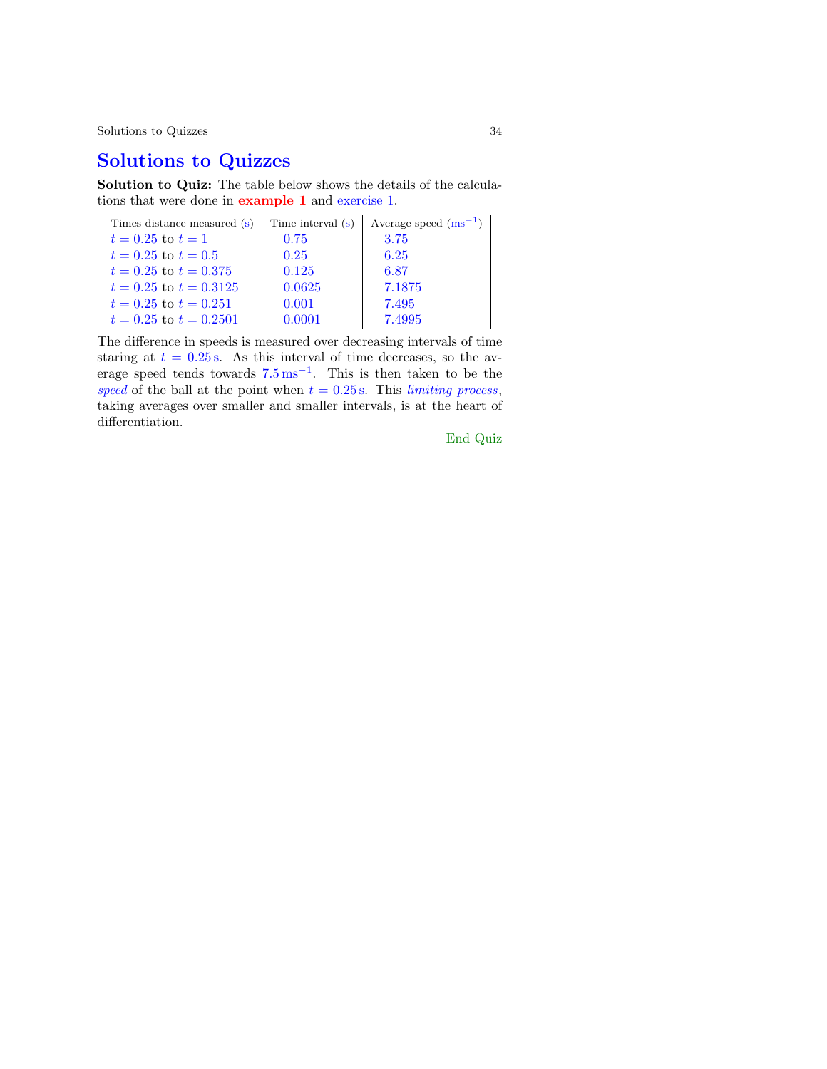Solutions to Quizzes 34

# Solutions to Quizzes

Solution to Quiz: The table below shows the details of the calculations that were done in example 1 and exercise 1.

| Times distance measured (s) | Time interval (s) | Average speed $(ms^{-1})$ |
|-----------------------------|-------------------|---------------------------|
| $t = 0.25$ to $t = 1$       | 0.75              | 3.75                      |
| $t = 0.25$ to $t = 0.5$     | 0.25              | 6.25                      |
| $t = 0.25$ to $t = 0.375$   | 0.125             | 6.87                      |
| $t = 0.25$ to $t = 0.3125$  | 0.0625            | 7.1875                    |
| $t = 0.25$ to $t = 0.251$   | 0.001             | 7.495                     |
| $t = 0.25$ to $t = 0.2501$  | 0.0001            | 7.4995                    |

The difference in speeds is measured over decreasing intervals of time staring at  $t = 0.25$  s. As this interval of time decreases, so the average speed tends towards  $7.5 \,\mathrm{ms}^{-1}$ . This is then taken to be the speed of the ball at the point when  $t = 0.25$  s. This limiting process, taking averages over smaller and smaller intervals, is at the heart of differentiation.

End Quiz